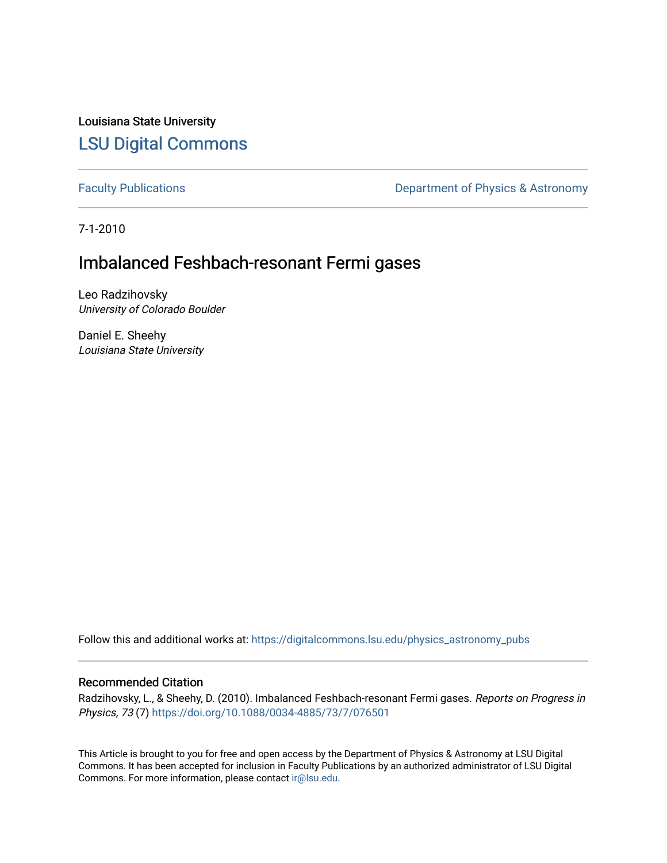Louisiana State University [LSU Digital Commons](https://digitalcommons.lsu.edu/)

[Faculty Publications](https://digitalcommons.lsu.edu/physics_astronomy_pubs) **Exercise 2** Constant Department of Physics & Astronomy

7-1-2010

# Imbalanced Feshbach-resonant Fermi gases

Leo Radzihovsky University of Colorado Boulder

Daniel E. Sheehy Louisiana State University

Follow this and additional works at: [https://digitalcommons.lsu.edu/physics\\_astronomy\\_pubs](https://digitalcommons.lsu.edu/physics_astronomy_pubs?utm_source=digitalcommons.lsu.edu%2Fphysics_astronomy_pubs%2F4989&utm_medium=PDF&utm_campaign=PDFCoverPages) 

# Recommended Citation

Radzihovsky, L., & Sheehy, D. (2010). Imbalanced Feshbach-resonant Fermi gases. Reports on Progress in Physics, 73 (7) <https://doi.org/10.1088/0034-4885/73/7/076501>

This Article is brought to you for free and open access by the Department of Physics & Astronomy at LSU Digital Commons. It has been accepted for inclusion in Faculty Publications by an authorized administrator of LSU Digital Commons. For more information, please contact [ir@lsu.edu](mailto:ir@lsu.edu).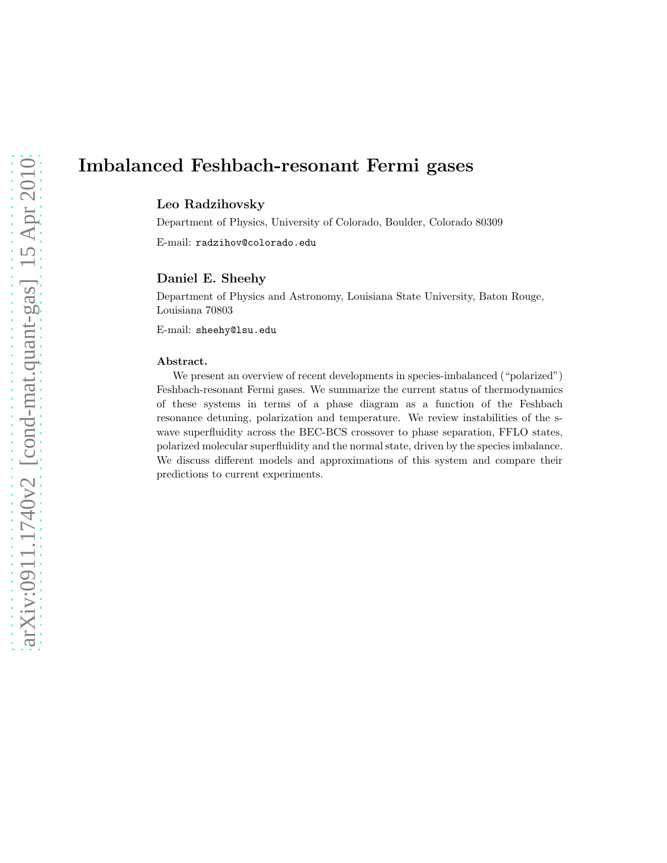# Imbalanced Feshbach-resonant Fermi gases

## Leo Radzihovsky

Department of Physics, University of Colorado, Boulder, Colorado 80309 E-mail: radzihov@colorado.edu

### Daniel E. Sheehy

Department of Physics and Astronomy, Louisiana State University, Baton Rouge, Louisiana 70803

E-mail: sheehy@lsu.edu

#### Abstract.

We present an overview of recent developments in species-imbalanced ("polarized") Feshbach-resonant Fermi gases. We summarize the current status of thermodynamics of these systems in terms of a phase diagram as a function of the Feshbach resonance detuning, polarization and temperature. We review instabilities of the swave superfluidity across the BEC-BCS crossover to phase separation, FFLO states, polarized molecular superfluidity and the normal state, driven by the species imbalance. We discuss different models and approximations of this system and compare their predictions to current experiments.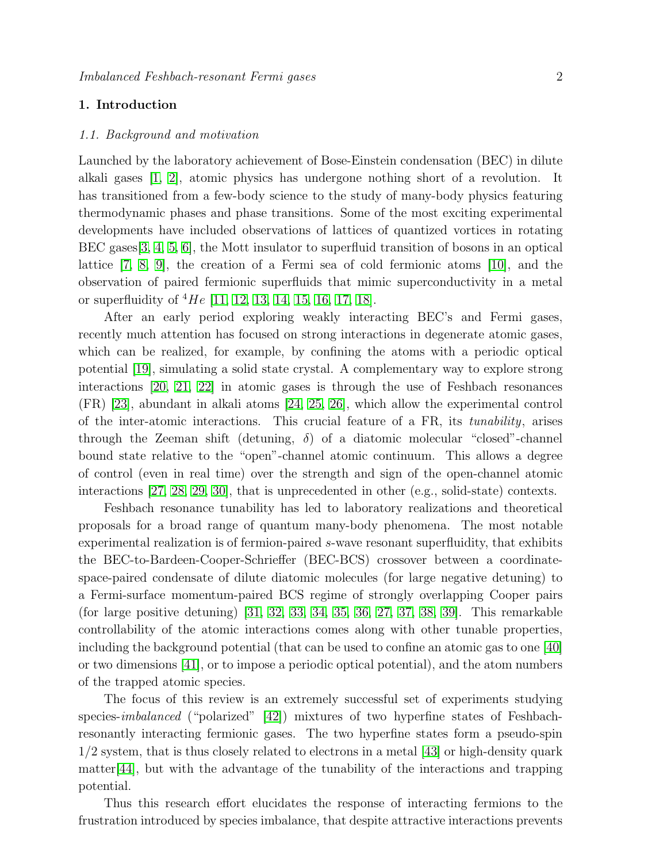## 1. Introduction

#### *1.1. Background and motivation*

Launched by the laboratory achievement of Bose-Einstein condensation (BEC) in dilute alkali gases [\[1,](#page-34-0) [2\]](#page-34-1), atomic physics has undergone nothing short of a revolution. It has transitioned from a few-body science to the study of many-body physics featuring thermodynamic phases and phase transitions. Some of the most exciting experimental developments have included observations of lattices of quantized vortices in rotating BEC gases[\[3,](#page-34-2) [4,](#page-34-3) [5,](#page-34-4) [6\]](#page-34-5), the Mott insulator to superfluid transition of bosons in an optical lattice [\[7,](#page-34-6) [8,](#page-34-7) [9\]](#page-34-8), the creation of a Fermi sea of cold fermionic atoms [\[10\]](#page-34-9), and the observation of paired fermionic superfluids that mimic superconductivity in a metal or superfluidity of  ${}^{4}He$  [\[11,](#page-34-10) [12,](#page-34-11) [13,](#page-34-12) [14,](#page-34-13) [15,](#page-34-14) [16,](#page-34-15) [17,](#page-34-16) [18\]](#page-34-17).

After an early period exploring weakly interacting BEC's and Fermi gases, recently much attention has focused on strong interactions in degenerate atomic gases, which can be realized, for example, by confining the atoms with a periodic optical potential [\[19\]](#page-34-18), simulating a solid state crystal. A complementary way to explore strong interactions [\[20,](#page-34-19) [21,](#page-34-20) [22\]](#page-34-21) in atomic gases is through the use of Feshbach resonances (FR) [\[23\]](#page-34-22), abundant in alkali atoms [\[24,](#page-35-0) [25,](#page-35-1) [26\]](#page-35-2), which allow the experimental control of the inter-atomic interactions. This crucial feature of a FR, its *tunability*, arises through the Zeeman shift (detuning,  $\delta$ ) of a diatomic molecular "closed"-channel bound state relative to the "open"-channel atomic continuum. This allows a degree of control (even in real time) over the strength and sign of the open-channel atomic interactions [\[27,](#page-35-3) [28,](#page-35-4) [29,](#page-35-5) [30\]](#page-35-6), that is unprecedented in other (e.g., solid-state) contexts.

Feshbach resonance tunability has led to laboratory realizations and theoretical proposals for a broad range of quantum many-body phenomena. The most notable experimental realization is of fermion-paired s-wave resonant superfluidity, that exhibits the BEC-to-Bardeen-Cooper-Schrieffer (BEC-BCS) crossover between a coordinatespace-paired condensate of dilute diatomic molecules (for large negative detuning) to a Fermi-surface momentum-paired BCS regime of strongly overlapping Cooper pairs (for large positive detuning) [\[31,](#page-35-7) [32,](#page-35-8) [33,](#page-35-9) [34,](#page-35-10) [35,](#page-35-11) [36,](#page-35-12) [27,](#page-35-3) [37,](#page-35-13) [38,](#page-35-14) [39\]](#page-35-15). This remarkable controllability of the atomic interactions comes along with other tunable properties, including the background potential (that can be used to confine an atomic gas to one [\[40\]](#page-35-16) or two dimensions [\[41\]](#page-35-17), or to impose a periodic optical potential), and the atom numbers of the trapped atomic species.

The focus of this review is an extremely successful set of experiments studying species-*imbalanced* ("polarized" [\[42\]](#page-35-18)) mixtures of two hyperfine states of Feshbachresonantly interacting fermionic gases. The two hyperfine states form a pseudo-spin 1/2 system, that is thus closely related to electrons in a metal [\[43\]](#page-35-19) or high-density quark matter[\[44\]](#page-35-20), but with the advantage of the tunability of the interactions and trapping potential.

Thus this research effort elucidates the response of interacting fermions to the frustration introduced by species imbalance, that despite attractive interactions prevents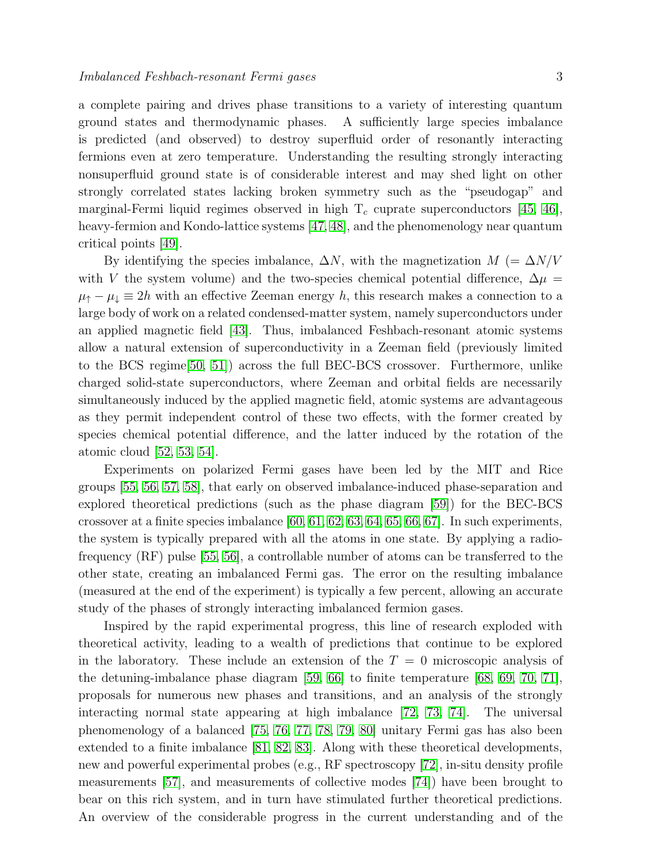a complete pairing and drives phase transitions to a variety of interesting quantum ground states and thermodynamic phases. A sufficiently large species imbalance is predicted (and observed) to destroy superfluid order of resonantly interacting fermions even at zero temperature. Understanding the resulting strongly interacting nonsuperfluid ground state is of considerable interest and may shed light on other strongly correlated states lacking broken symmetry such as the "pseudogap" and marginal-Fermi liquid regimes observed in high  $T_c$  cuprate superconductors [\[45,](#page-35-21) [46\]](#page-35-22), heavy-fermion and Kondo-lattice systems [\[47,](#page-35-23) [48\]](#page-35-24), and the phenomenology near quantum critical points [\[49\]](#page-35-25).

By identifying the species imbalance,  $\Delta N$ , with the magnetization  $M$  (=  $\Delta N/V$ with V the system volume) and the two-species chemical potential difference,  $\Delta \mu$  $\mu_{\uparrow} - \mu_{\downarrow} \equiv 2h$  with an effective Zeeman energy h, this research makes a connection to a large body of work on a related condensed-matter system, namely superconductors under an applied magnetic field [\[43\]](#page-35-19). Thus, imbalanced Feshbach-resonant atomic systems allow a natural extension of superconductivity in a Zeeman field (previously limited to the BCS regime[\[50,](#page-35-26) [51\]](#page-35-27)) across the full BEC-BCS crossover. Furthermore, unlike charged solid-state superconductors, where Zeeman and orbital fields are necessarily simultaneously induced by the applied magnetic field, atomic systems are advantageous as they permit independent control of these two effects, with the former created by species chemical potential difference, and the latter induced by the rotation of the atomic cloud [\[52,](#page-35-28) [53,](#page-35-29) [54\]](#page-35-30).

Experiments on polarized Fermi gases have been led by the MIT and Rice groups [\[55,](#page-35-31) [56,](#page-35-32) [57,](#page-35-33) [58\]](#page-35-34), that early on observed imbalance-induced phase-separation and explored theoretical predictions (such as the phase diagram [\[59\]](#page-35-35)) for the BEC-BCS crossover at a finite species imbalance  $[60, 61, 62, 63, 64, 65, 66, 67]$  $[60, 61, 62, 63, 64, 65, 66, 67]$  $[60, 61, 62, 63, 64, 65, 66, 67]$  $[60, 61, 62, 63, 64, 65, 66, 67]$  $[60, 61, 62, 63, 64, 65, 66, 67]$  $[60, 61, 62, 63, 64, 65, 66, 67]$  $[60, 61, 62, 63, 64, 65, 66, 67]$  $[60, 61, 62, 63, 64, 65, 66, 67]$ . In such experiments, the system is typically prepared with all the atoms in one state. By applying a radiofrequency (RF) pulse [\[55,](#page-35-31) [56\]](#page-35-32), a controllable number of atoms can be transferred to the other state, creating an imbalanced Fermi gas. The error on the resulting imbalance (measured at the end of the experiment) is typically a few percent, allowing an accurate study of the phases of strongly interacting imbalanced fermion gases.

Inspired by the rapid experimental progress, this line of research exploded with theoretical activity, leading to a wealth of predictions that continue to be explored in the laboratory. These include an extension of the  $T = 0$  microscopic analysis of the detuning-imbalance phase diagram [\[59,](#page-35-35) [66\]](#page-36-4) to finite temperature [\[68,](#page-36-6) [69,](#page-36-7) [70,](#page-36-8) [71\]](#page-36-9), proposals for numerous new phases and transitions, and an analysis of the strongly interacting normal state appearing at high imbalance [\[72,](#page-36-10) [73,](#page-36-11) [74\]](#page-36-12). The universal phenomenology of a balanced [\[75,](#page-36-13) [76,](#page-36-14) [77,](#page-36-15) [78,](#page-36-16) [79,](#page-36-17) [80\]](#page-36-18) unitary Fermi gas has also been extended to a finite imbalance [\[81,](#page-36-19) [82,](#page-36-20) [83\]](#page-36-21). Along with these theoretical developments, new and powerful experimental probes (e.g., RF spectroscopy [\[72\]](#page-36-10), in-situ density profile measurements [\[57\]](#page-35-33), and measurements of collective modes [\[74\]](#page-36-12)) have been brought to bear on this rich system, and in turn have stimulated further theoretical predictions. An overview of the considerable progress in the current understanding and of the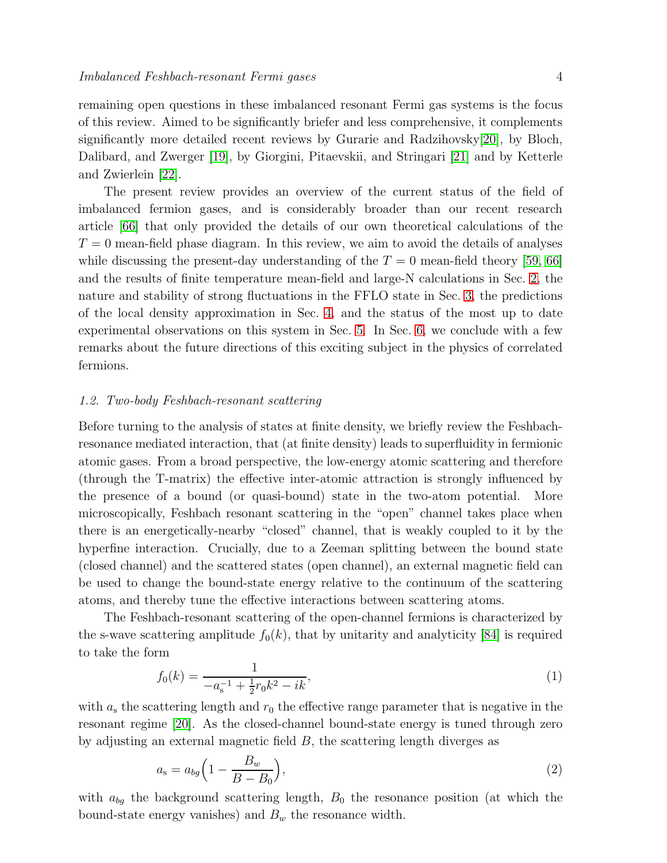remaining open questions in these imbalanced resonant Fermi gas systems is the focus of this review. Aimed to be significantly briefer and less comprehensive, it complements significantly more detailed recent reviews by Gurarie and Radzihovsky[\[20\]](#page-34-19), by Bloch, Dalibard, and Zwerger [\[19\]](#page-34-18), by Giorgini, Pitaevskii, and Stringari [\[21\]](#page-34-20) and by Ketterle and Zwierlein [\[22\]](#page-34-21).

The present review provides an overview of the current status of the field of imbalanced fermion gases, and is considerably broader than our recent research article [\[66\]](#page-36-4) that only provided the details of our own theoretical calculations of the  $T = 0$  mean-field phase diagram. In this review, we aim to avoid the details of analyses while discussing the present-day understanding of the  $T = 0$  mean-field theory [\[59,](#page-35-35) [66\]](#page-36-4) and the results of finite temperature mean-field and large-N calculations in Sec. [2,](#page-10-0) the nature and stability of strong fluctuations in the FFLO state in Sec. [3,](#page-18-0) the predictions of the local density approximation in Sec. [4,](#page-22-0) and the status of the most up to date experimental observations on this system in Sec. [5.](#page-26-0) In Sec. [6,](#page-32-0) we conclude with a few remarks about the future directions of this exciting subject in the physics of correlated fermions.

## *1.2. Two-body Feshbach-resonant scattering*

Before turning to the analysis of states at finite density, we briefly review the Feshbachresonance mediated interaction, that (at finite density) leads to superfluidity in fermionic atomic gases. From a broad perspective, the low-energy atomic scattering and therefore (through the T-matrix) the effective inter-atomic attraction is strongly influenced by the presence of a bound (or quasi-bound) state in the two-atom potential. More microscopically, Feshbach resonant scattering in the "open" channel takes place when there is an energetically-nearby "closed" channel, that is weakly coupled to it by the hyperfine interaction. Crucially, due to a Zeeman splitting between the bound state (closed channel) and the scattered states (open channel), an external magnetic field can be used to change the bound-state energy relative to the continuum of the scattering atoms, and thereby tune the effective interactions between scattering atoms.

The Feshbach-resonant scattering of the open-channel fermions is characterized by the s-wave scattering amplitude  $f_0(k)$ , that by unitarity and analyticity [\[84\]](#page-36-22) is required to take the form

<span id="page-4-0"></span>
$$
f_0(k) = \frac{1}{-a_s^{-1} + \frac{1}{2}r_0k^2 - ik},\tag{1}
$$

with  $a_s$  the scattering length and  $r_0$  the effective range parameter that is negative in the resonant regime [\[20\]](#page-34-19). As the closed-channel bound-state energy is tuned through zero by adjusting an external magnetic field B, the scattering length diverges as

$$
a_{s} = a_{bg} \left( 1 - \frac{B_{w}}{B - B_{0}} \right),\tag{2}
$$

with  $a_{bg}$  the background scattering length,  $B_0$  the resonance position (at which the bound-state energy vanishes) and  $B_w$  the resonance width.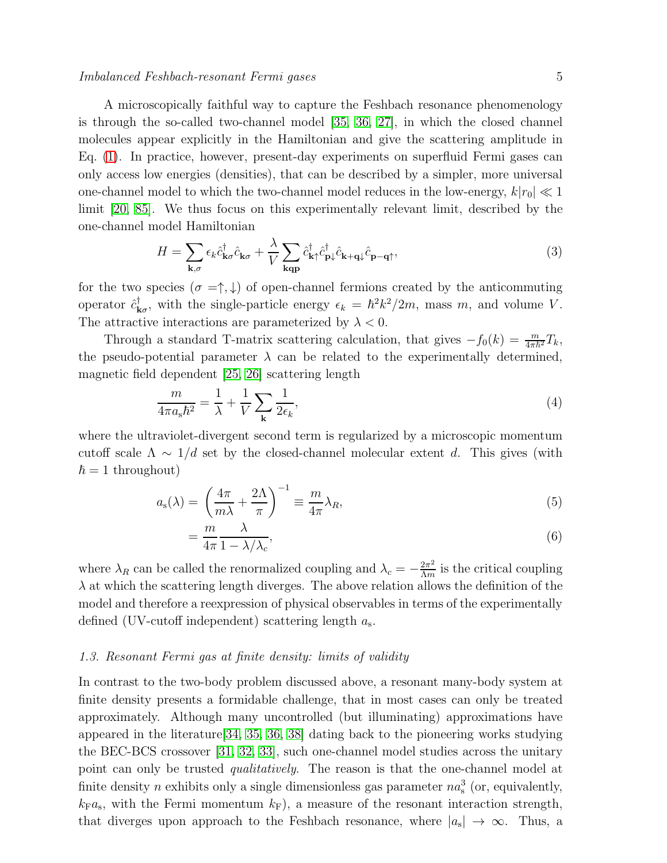## *Imbalanced Feshbach-resonant Fermi gases* 5

A microscopically faithful way to capture the Feshbach resonance phenomenology is through the so-called two-channel model [\[35,](#page-35-11) [36,](#page-35-12) [27\]](#page-35-3), in which the closed channel molecules appear explicitly in the Hamiltonian and give the scattering amplitude in Eq. [\(1\)](#page-4-0). In practice, however, present-day experiments on superfluid Fermi gases can only access low energies (densities), that can be described by a simpler, more universal one-channel model to which the two-channel model reduces in the low-energy,  $k|r_0| \ll 1$ limit [\[20,](#page-34-19) [85\]](#page-36-23). We thus focus on this experimentally relevant limit, described by the one-channel model Hamiltonian

$$
H = \sum_{\mathbf{k},\sigma} \epsilon_k \hat{c}_{\mathbf{k}\sigma}^\dagger \hat{c}_{\mathbf{k}\sigma} + \frac{\lambda}{V} \sum_{\mathbf{k}\mathbf{q}\mathbf{p}} \hat{c}_{\mathbf{k}\uparrow}^\dagger \hat{c}_{\mathbf{p}\downarrow}^\dagger \hat{c}_{\mathbf{k}+\mathbf{q}\downarrow} \hat{c}_{\mathbf{p}-\mathbf{q}\uparrow},\tag{3}
$$

for the two species  $(\sigma = \uparrow, \downarrow)$  of open-channel fermions created by the anticommuting operator  $\hat{c}^{\dagger}_{\mathbf{k}\sigma}$ , with the single-particle energy  $\epsilon_k = \hbar^2 k^2 / 2m$ , mass m, and volume V. The attractive interactions are parameterized by  $\lambda < 0$ .

Through a standard T-matrix scattering calculation, that gives  $-f_0(k) = \frac{m}{4\pi\hbar^2}T_k$ , the pseudo-potential parameter  $\lambda$  can be related to the experimentally determined, magnetic field dependent [\[25,](#page-35-1) [26\]](#page-35-2) scattering length

$$
\frac{m}{4\pi a_s \hbar^2} = \frac{1}{\lambda} + \frac{1}{V} \sum_{\mathbf{k}} \frac{1}{2\epsilon_k},\tag{4}
$$

where the ultraviolet-divergent second term is regularized by a microscopic momentum cutoff scale  $\Lambda \sim 1/d$  set by the closed-channel molecular extent d. This gives (with  $\hbar = 1$  throughout)

$$
a_{s}(\lambda) = \left(\frac{4\pi}{m\lambda} + \frac{2\Lambda}{\pi}\right)^{-1} \equiv \frac{m}{4\pi}\lambda_{R},\tag{5}
$$

$$
=\frac{m}{4\pi}\frac{\lambda}{1-\lambda/\lambda_c},\tag{6}
$$

where  $\lambda_R$  can be called the renormalized coupling and  $\lambda_c = -\frac{2\pi^2}{\Lambda m}$  $\frac{2\pi^2}{\Lambda m}$  is the critical coupling  $\lambda$  at which the scattering length diverges. The above relation allows the definition of the model and therefore a reexpression of physical observables in terms of the experimentally defined (UV-cutoff independent) scattering length  $a_{s}$ .

## *1.3. Resonant Fermi gas at finite density: limits of validity*

In contrast to the two-body problem discussed above, a resonant many-body system at finite density presents a formidable challenge, that in most cases can only be treated approximately. Although many uncontrolled (but illuminating) approximations have appeared in the literature[\[34,](#page-35-10) [35,](#page-35-11) [36,](#page-35-12) [38\]](#page-35-14) dating back to the pioneering works studying the BEC-BCS crossover [\[31,](#page-35-7) [32,](#page-35-8) [33\]](#page-35-9), such one-channel model studies across the unitary point can only be trusted *qualitatively*. The reason is that the one-channel model at finite density *n* exhibits only a single dimensionless gas parameter  $na_s^3$  (or, equivalently,  $k_{\rm F}a_{\rm s}$ , with the Fermi momentum  $k_{\rm F}$ ), a measure of the resonant interaction strength, that diverges upon approach to the Feshbach resonance, where  $|a_{s}| \to \infty$ . Thus, a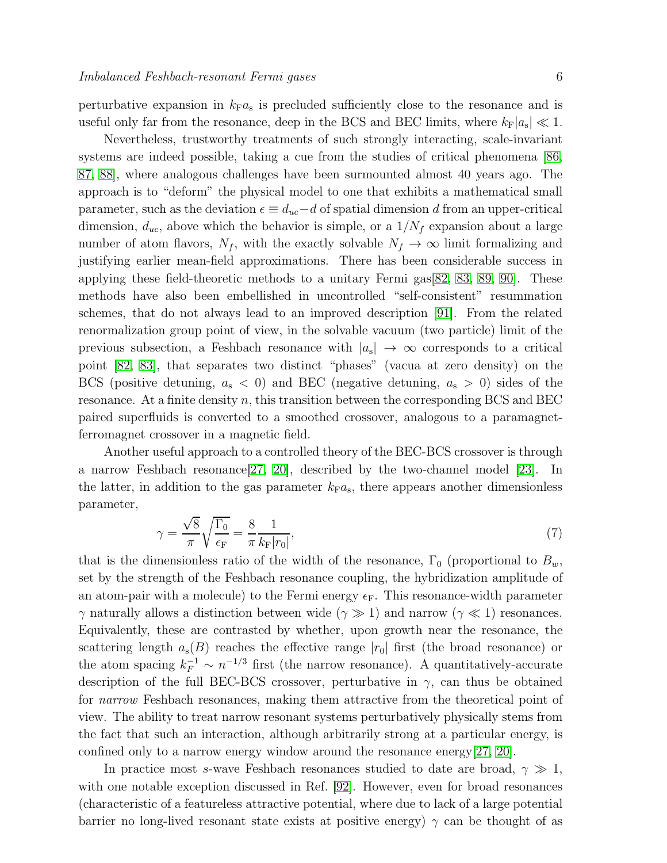perturbative expansion in  $k_{\text{F}}a_{\text{s}}$  is precluded sufficiently close to the resonance and is useful only far from the resonance, deep in the BCS and BEC limits, where  $k_F|a_s| \ll 1$ .

Nevertheless, trustworthy treatments of such strongly interacting, scale-invariant systems are indeed possible, taking a cue from the studies of critical phenomena [\[86,](#page-36-24) [87,](#page-36-25) [88\]](#page-36-26), where analogous challenges have been surmounted almost 40 years ago. The approach is to "deform" the physical model to one that exhibits a mathematical small parameter, such as the deviation  $\epsilon \equiv d_{uc}-d$  of spatial dimension d from an upper-critical dimension,  $d_{uc}$ , above which the behavior is simple, or a  $1/N_f$  expansion about a large number of atom flavors,  $N_f$ , with the exactly solvable  $N_f \to \infty$  limit formalizing and justifying earlier mean-field approximations. There has been considerable success in applying these field-theoretic methods to a unitary Fermi gas[\[82,](#page-36-20) [83,](#page-36-21) [89,](#page-36-27) [90\]](#page-36-28). These methods have also been embellished in uncontrolled "self-consistent" resummation schemes, that do not always lead to an improved description [\[91\]](#page-36-29). From the related renormalization group point of view, in the solvable vacuum (two particle) limit of the previous subsection, a Feshbach resonance with  $|a_{s}| \to \infty$  corresponds to a critical point [\[82,](#page-36-20) [83\]](#page-36-21), that separates two distinct "phases" (vacua at zero density) on the BCS (positive detuning,  $a_s < 0$ ) and BEC (negative detuning,  $a_s > 0$ ) sides of the resonance. At a finite density  $n$ , this transition between the corresponding BCS and BEC paired superfluids is converted to a smoothed crossover, analogous to a paramagnetferromagnet crossover in a magnetic field.

Another useful approach to a controlled theory of the BEC-BCS crossover is through a narrow Feshbach resonance[\[27,](#page-35-3) [20\]](#page-34-19), described by the two-channel model [\[23\]](#page-34-22). In the latter, in addition to the gas parameter  $k_{\text{F}}a_{\text{s}}$ , there appears another dimensionless parameter,

$$
\gamma = \frac{\sqrt{8}}{\pi} \sqrt{\frac{\Gamma_0}{\epsilon_F}} = \frac{8}{\pi} \frac{1}{k_F |r_0|},\tag{7}
$$

that is the dimensionless ratio of the width of the resonance,  $\Gamma_0$  (proportional to  $B_w$ , set by the strength of the Feshbach resonance coupling, the hybridization amplitude of an atom-pair with a molecule) to the Fermi energy  $\epsilon_F$ . This resonance-width parameter  $\gamma$  naturally allows a distinction between wide ( $\gamma \gg 1$ ) and narrow ( $\gamma \ll 1$ ) resonances. Equivalently, these are contrasted by whether, upon growth near the resonance, the scattering length  $a_s(B)$  reaches the effective range  $|r_0|$  first (the broad resonance) or the atom spacing  $k_F^{-1} \sim n^{-1/3}$  first (the narrow resonance). A quantitatively-accurate description of the full BEC-BCS crossover, perturbative in  $\gamma$ , can thus be obtained for *narrow* Feshbach resonances, making them attractive from the theoretical point of view. The ability to treat narrow resonant systems perturbatively physically stems from the fact that such an interaction, although arbitrarily strong at a particular energy, is confined only to a narrow energy window around the resonance energy[\[27,](#page-35-3) [20\]](#page-34-19).

In practice most s-wave Feshbach resonances studied to date are broad,  $\gamma \gg 1$ , with one notable exception discussed in Ref. [\[92\]](#page-36-30). However, even for broad resonances (characteristic of a featureless attractive potential, where due to lack of a large potential barrier no long-lived resonant state exists at positive energy)  $\gamma$  can be thought of as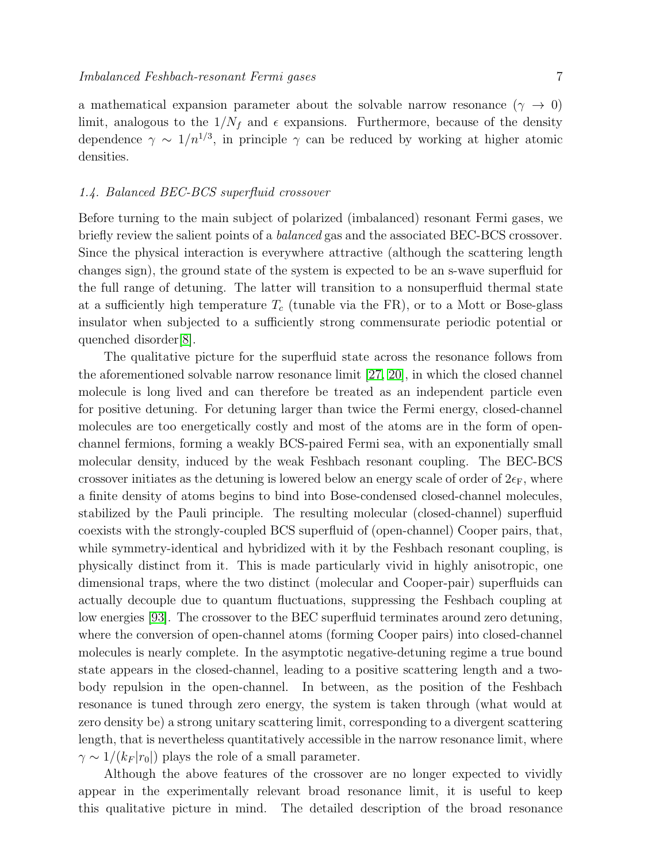a mathematical expansion parameter about the solvable narrow resonance  $(\gamma \to 0)$ limit, analogous to the  $1/N_f$  and  $\epsilon$  expansions. Furthermore, because of the density dependence  $\gamma \sim 1/n^{1/3}$ , in principle  $\gamma$  can be reduced by working at higher atomic densities.

### *1.4. Balanced BEC-BCS superfluid crossover*

Before turning to the main subject of polarized (imbalanced) resonant Fermi gases, we briefly review the salient points of a *balanced* gas and the associated BEC-BCS crossover. Since the physical interaction is everywhere attractive (although the scattering length changes sign), the ground state of the system is expected to be an s-wave superfluid for the full range of detuning. The latter will transition to a nonsuperfluid thermal state at a sufficiently high temperature  $T_c$  (tunable via the FR), or to a Mott or Bose-glass insulator when subjected to a sufficiently strong commensurate periodic potential or quenched disorder[\[8\]](#page-34-7).

The qualitative picture for the superfluid state across the resonance follows from the aforementioned solvable narrow resonance limit [\[27,](#page-35-3) [20\]](#page-34-19), in which the closed channel molecule is long lived and can therefore be treated as an independent particle even for positive detuning. For detuning larger than twice the Fermi energy, closed-channel molecules are too energetically costly and most of the atoms are in the form of openchannel fermions, forming a weakly BCS-paired Fermi sea, with an exponentially small molecular density, induced by the weak Feshbach resonant coupling. The BEC-BCS crossover initiates as the detuning is lowered below an energy scale of order of  $2\epsilon_F$ , where a finite density of atoms begins to bind into Bose-condensed closed-channel molecules, stabilized by the Pauli principle. The resulting molecular (closed-channel) superfluid coexists with the strongly-coupled BCS superfluid of (open-channel) Cooper pairs, that, while symmetry-identical and hybridized with it by the Feshbach resonant coupling, is physically distinct from it. This is made particularly vivid in highly anisotropic, one dimensional traps, where the two distinct (molecular and Cooper-pair) superfluids can actually decouple due to quantum fluctuations, suppressing the Feshbach coupling at low energies [\[93\]](#page-36-31). The crossover to the BEC superfluid terminates around zero detuning, where the conversion of open-channel atoms (forming Cooper pairs) into closed-channel molecules is nearly complete. In the asymptotic negative-detuning regime a true bound state appears in the closed-channel, leading to a positive scattering length and a twobody repulsion in the open-channel. In between, as the position of the Feshbach resonance is tuned through zero energy, the system is taken through (what would at zero density be) a strong unitary scattering limit, corresponding to a divergent scattering length, that is nevertheless quantitatively accessible in the narrow resonance limit, where  $\gamma \sim 1/(k_F |r_0|)$  plays the role of a small parameter.

Although the above features of the crossover are no longer expected to vividly appear in the experimentally relevant broad resonance limit, it is useful to keep this qualitative picture in mind. The detailed description of the broad resonance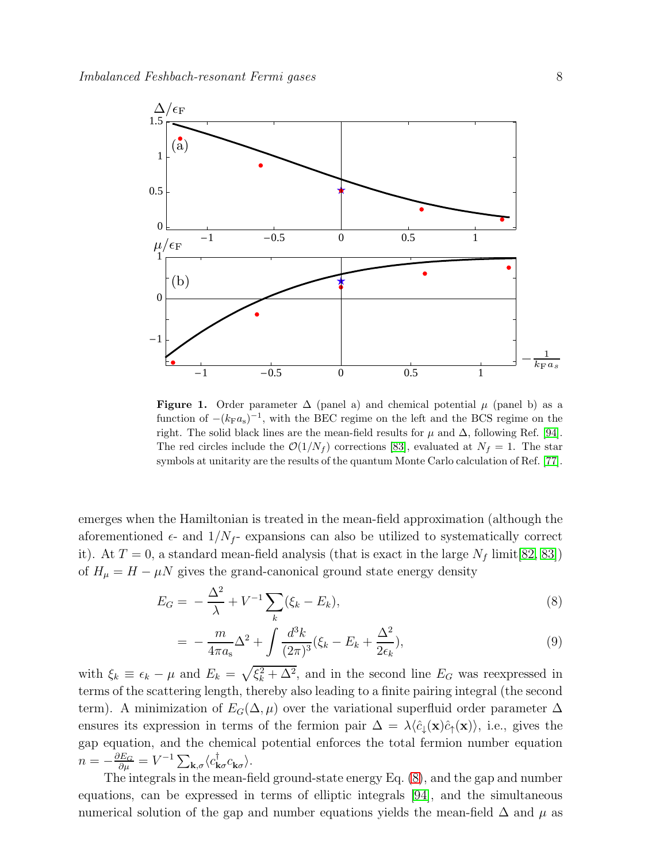

<span id="page-8-1"></span>Figure 1. Order parameter  $\Delta$  (panel a) and chemical potential  $\mu$  (panel b) as a function of  $-(k_{\rm F}a_{\rm s})^{-1}$ , with the BEC regime on the left and the BCS regime on the right. The solid black lines are the mean-field results for  $\mu$  and  $\Delta$ , following Ref. [\[94\]](#page-36-32). The red circles include the  $\mathcal{O}(1/N_f)$  corrections [\[83\]](#page-36-21), evaluated at  $N_f = 1$ . The star symbols at unitarity are the results of the quantum Monte Carlo calculation of Ref. [\[77\]](#page-36-15).

emerges when the Hamiltonian is treated in the mean-field approximation (although the aforementioned  $\epsilon$ - and  $1/N_f$ - expansions can also be utilized to systematically correct it). At  $T = 0$ , a standard mean-field analysis (that is exact in the large  $N_f$  limit[\[82,](#page-36-20) [83\]](#page-36-21)) of  $H_{\mu} = H - \mu N$  gives the grand-canonical ground state energy density

<span id="page-8-0"></span>
$$
E_G = -\frac{\Delta^2}{\lambda} + V^{-1} \sum_k (\xi_k - E_k), \tag{8}
$$

$$
= -\frac{m}{4\pi a_s} \Delta^2 + \int \frac{d^3k}{(2\pi)^3} (\xi_k - E_k + \frac{\Delta^2}{2\epsilon_k}), \tag{9}
$$

with  $\xi_k \equiv \epsilon_k - \mu$  and  $E_k = \sqrt{\xi_k^2 + \Delta^2}$ , and in the second line  $E_G$  was reexpressed in terms of the scattering length, thereby also leading to a finite pairing integral (the second term). A minimization of  $E_G(\Delta, \mu)$  over the variational superfluid order parameter  $\Delta$ ensures its expression in terms of the fermion pair  $\Delta = \lambda \langle \hat{c}_{\perp}(\mathbf{x}) \hat{c}_{\uparrow}(\mathbf{x}) \rangle$ , i.e., gives the gap equation, and the chemical potential enforces the total fermion number equation  $n = -\frac{\partial E_G}{\partial \mu} = V^{-1} \sum_{\mathbf{k},\sigma} \langle c_{\mathbf{k}\sigma}^{\dagger} c_{\mathbf{k}\sigma} \rangle.$ 

The integrals in the mean-field ground-state energy Eq. [\(8\)](#page-8-0), and the gap and number equations, can be expressed in terms of elliptic integrals [\[94\]](#page-36-32), and the simultaneous numerical solution of the gap and number equations yields the mean-field  $\Delta$  and  $\mu$  as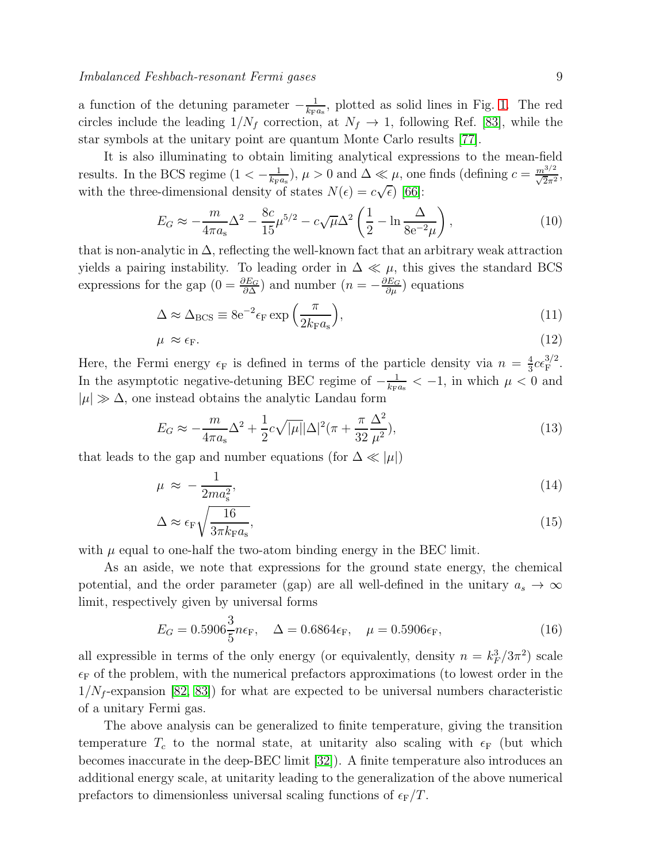a function of the detuning parameter  $-\frac{1}{k_{\text{F}}}$  $\frac{1}{k_{\text{F}}a_{\text{s}}}$ , plotted as solid lines in Fig. [1.](#page-8-1) The red circles include the leading  $1/N_f$  correction, at  $N_f \rightarrow 1$ , following Ref. [\[83\]](#page-36-21), while the star symbols at the unitary point are quantum Monte Carlo results [\[77\]](#page-36-15).

It is also illuminating to obtain limiting analytical expressions to the mean-field results. In the BCS regime ( $1 < -\frac{1}{k_{\text{F}}a}$  $(\frac{1}{k_{\text{F}}a_{\text{s}}}), \mu > 0$  and  $\Delta \ll \mu$ , one finds (defining  $c = \frac{m^{3/2}}{\sqrt{2}\pi^2}$ , with the three-dimensional density of states  $N(\epsilon) = c\sqrt{\epsilon}$  [\[66\]](#page-36-4):

$$
E_G \approx -\frac{m}{4\pi a_s} \Delta^2 - \frac{8c}{15} \mu^{5/2} - c\sqrt{\mu} \Delta^2 \left(\frac{1}{2} - \ln \frac{\Delta}{8e^{-2}\mu}\right),\tag{10}
$$

that is non-analytic in  $\Delta$ , reflecting the well-known fact that an arbitrary weak attraction yields a pairing instability. To leading order in  $\Delta \ll \mu$ , this gives the standard BCS expressions for the gap  $(0 = \frac{\partial E_G}{\partial \Delta})$  and number  $(n = -\frac{\partial E_G}{\partial \mu})$  equations

$$
\Delta \approx \Delta_{\rm BCS} \equiv 8e^{-2} \epsilon_{\rm F} \exp\left(\frac{\pi}{2k_{\rm F}a_{\rm s}}\right),\tag{11}
$$

$$
\mu \approx \epsilon_{\rm F}.\tag{12}
$$

Here, the Fermi energy  $\epsilon_F$  is defined in terms of the particle density via  $n = \frac{4}{3}$  $\frac{4}{3}c\epsilon_{\rm F}^{3/2}$ <sup>5/2</sup>. In the asymptotic negative-detuning BEC regime of  $-\frac{1}{k_{\text{F}}}$  $\frac{1}{k_{\text{F}}a_{\text{s}}} < -1$ , in which  $\mu < 0$  and  $|\mu| \gg \Delta$ , one instead obtains the analytic Landau form

$$
E_G \approx -\frac{m}{4\pi a_s} \Delta^2 + \frac{1}{2} c \sqrt{|\mu|} |\Delta|^2 (\pi + \frac{\pi}{32} \frac{\Delta^2}{\mu^2}),
$$
\n(13)

that leads to the gap and number equations (for  $\Delta \ll |\mu|$ )

$$
\mu \approx -\frac{1}{2ma_{\rm s}^2},\tag{14}
$$

$$
\Delta \approx \epsilon_{\rm F} \sqrt{\frac{16}{3\pi k_{\rm F} a_{\rm s}}},\tag{15}
$$

with  $\mu$  equal to one-half the two-atom binding energy in the BEC limit.

As an aside, we note that expressions for the ground state energy, the chemical potential, and the order parameter (gap) are all well-defined in the unitary  $a_s \to \infty$ limit, respectively given by universal forms

$$
E_G = 0.5906 \frac{3}{5} n \epsilon_F, \quad \Delta = 0.6864 \epsilon_F, \quad \mu = 0.5906 \epsilon_F,
$$
 (16)

all expressible in terms of the only energy (or equivalently, density  $n = k_F^3/3\pi^2$ ) scale  $\epsilon_F$  of the problem, with the numerical prefactors approximations (to lowest order in the  $1/N_f$ -expansion [\[82,](#page-36-20) [83\]](#page-36-21)) for what are expected to be universal numbers characteristic of a unitary Fermi gas.

The above analysis can be generalized to finite temperature, giving the transition temperature  $T_c$  to the normal state, at unitarity also scaling with  $\epsilon_F$  (but which becomes inaccurate in the deep-BEC limit [\[32\]](#page-35-8)). A finite temperature also introduces an additional energy scale, at unitarity leading to the generalization of the above numerical prefactors to dimensionless universal scaling functions of  $\epsilon_F/T$ .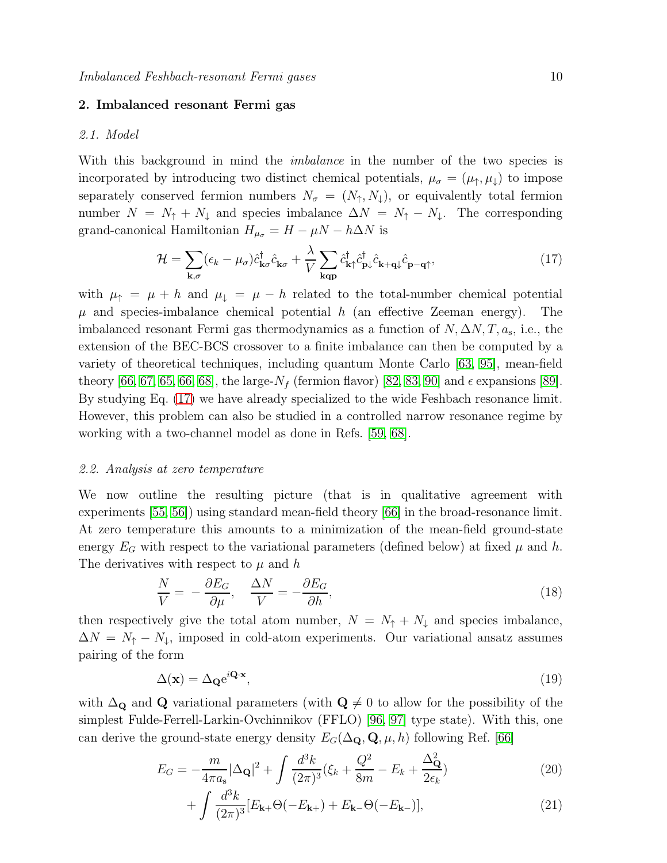## <span id="page-10-0"></span>2. Imbalanced resonant Fermi gas

#### *2.1. Model*

With this background in mind the *imbalance* in the number of the two species is incorporated by introducing two distinct chemical potentials,  $\mu_{\sigma} = (\mu_{\uparrow}, \mu_{\downarrow})$  to impose separately conserved fermion numbers  $N_{\sigma} = (N_{\uparrow}, N_{\downarrow})$ , or equivalently total fermion number  $N = N_{\uparrow} + N_{\downarrow}$  and species imbalance  $\Delta N = N_{\uparrow} - N_{\downarrow}$ . The corresponding grand-canonical Hamiltonian  $H_{\mu_{\sigma}} = H - \mu N - h\Delta N$  is

<span id="page-10-1"></span>
$$
\mathcal{H} = \sum_{\mathbf{k},\sigma} (\epsilon_{\mathbf{k}} - \mu_{\sigma}) \hat{c}_{\mathbf{k}\sigma}^{\dagger} \hat{c}_{\mathbf{k}\sigma} + \frac{\lambda}{V} \sum_{\mathbf{k}\mathbf{q}\mathbf{p}} \hat{c}_{\mathbf{k}\uparrow}^{\dagger} \hat{c}_{\mathbf{p}\downarrow}^{\dagger} \hat{c}_{\mathbf{k}+\mathbf{q}\downarrow} \hat{c}_{\mathbf{p}-\mathbf{q}\uparrow},\tag{17}
$$

with  $\mu_{\uparrow} = \mu + h$  and  $\mu_{\downarrow} = \mu - h$  related to the total-number chemical potential  $\mu$  and species-imbalance chemical potential h (an effective Zeeman energy). The imbalanced resonant Fermi gas thermodynamics as a function of  $N, \Delta N, T, a_s$ , i.e., the extension of the BEC-BCS crossover to a finite imbalance can then be computed by a variety of theoretical techniques, including quantum Monte Carlo [\[63,](#page-36-1) [95\]](#page-36-33), mean-field theory [\[66,](#page-36-4) [67,](#page-36-5) [65,](#page-36-3) [66,](#page-36-4) [68\]](#page-36-6), the large- $N_f$  (fermion flavor) [\[82,](#page-36-20) [83,](#page-36-21) [90\]](#page-36-28) and  $\epsilon$  expansions [\[89\]](#page-36-27). By studying Eq. [\(17\)](#page-10-1) we have already specialized to the wide Feshbach resonance limit. However, this problem can also be studied in a controlled narrow resonance regime by working with a two-channel model as done in Refs. [\[59,](#page-35-35) [68\]](#page-36-6).

#### *2.2. Analysis at zero temperature*

We now outline the resulting picture (that is in qualitative agreement with experiments [\[55,](#page-35-31) [56\]](#page-35-32)) using standard mean-field theory [\[66\]](#page-36-4) in the broad-resonance limit. At zero temperature this amounts to a minimization of the mean-field ground-state energy  $E_G$  with respect to the variational parameters (defined below) at fixed  $\mu$  and h. The derivatives with respect to  $\mu$  and h

$$
\frac{N}{V} = -\frac{\partial E_G}{\partial \mu}, \quad \frac{\Delta N}{V} = -\frac{\partial E_G}{\partial h},\tag{18}
$$

then respectively give the total atom number,  $N = N_{\uparrow} + N_{\downarrow}$  and species imbalance,  $\Delta N = N_{\uparrow} - N_{\downarrow}$ , imposed in cold-atom experiments. Our variational ansatz assumes pairing of the form

<span id="page-10-2"></span>
$$
\Delta(\mathbf{x}) = \Delta_{\mathbf{Q}} e^{i\mathbf{Q} \cdot \mathbf{x}},\tag{19}
$$

with  $\Delta_{\mathbf{Q}}$  and  $\mathbf{Q}$  variational parameters (with  $\mathbf{Q} \neq 0$  to allow for the possibility of the simplest Fulde-Ferrell-Larkin-Ovchinnikov (FFLO) [\[96,](#page-36-34) [97\]](#page-36-35) type state). With this, one can derive the ground-state energy density  $E_G(\Delta_{\mathbf{Q}}, \mathbf{Q}, \mu, h)$  following Ref. [\[66\]](#page-36-4)

$$
E_G = -\frac{m}{4\pi a_s} |\Delta_{\mathbf{Q}}|^2 + \int \frac{d^3k}{(2\pi)^3} (\xi_k + \frac{Q^2}{8m} - E_k + \frac{\Delta_{\mathbf{Q}}^2}{2\epsilon_k})
$$
(20)

$$
+\int \frac{d^3k}{(2\pi)^3} [E_{\mathbf{k}+} \Theta(-E_{\mathbf{k}+}) + E_{\mathbf{k}+} \Theta(-E_{\mathbf{k}-})],\tag{21}
$$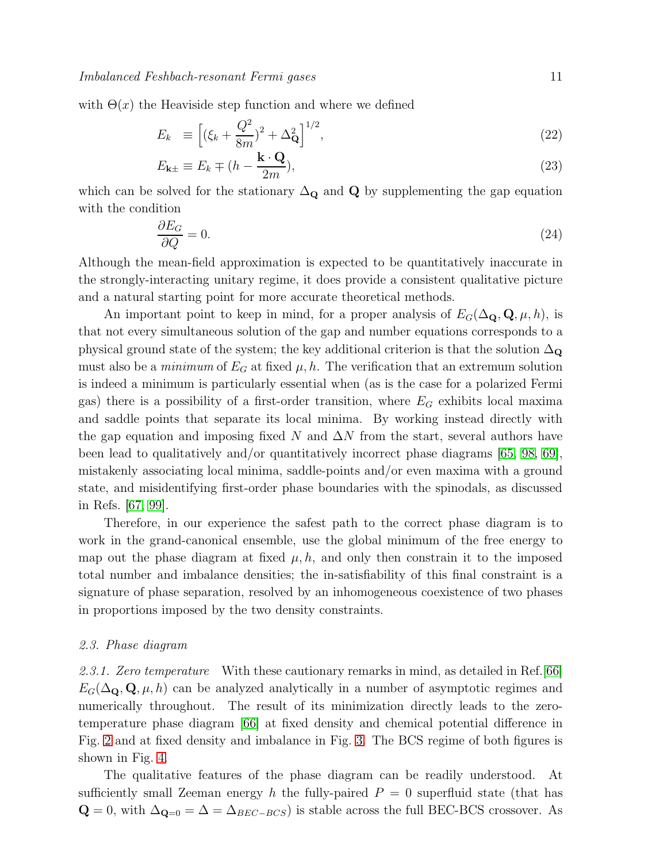with  $\Theta(x)$  the Heaviside step function and where we defined

$$
E_k \equiv \left[ (\xi_k + \frac{Q^2}{8m})^2 + \Delta_{\mathbf{Q}}^2 \right]^{1/2}, \tag{22}
$$

$$
E_{\mathbf{k}\pm} \equiv E_k \mp (h - \frac{\mathbf{k} \cdot \mathbf{Q}}{2m}),\tag{23}
$$

which can be solved for the stationary  $\Delta_{\mathbf{Q}}$  and  $\mathbf{Q}$  by supplementing the gap equation with the condition

$$
\frac{\partial E_G}{\partial Q} = 0.\tag{24}
$$

Although the mean-field approximation is expected to be quantitatively inaccurate in the strongly-interacting unitary regime, it does provide a consistent qualitative picture and a natural starting point for more accurate theoretical methods.

An important point to keep in mind, for a proper analysis of  $E_G(\Delta_0, \mathbf{Q}, \mu, h)$ , is that not every simultaneous solution of the gap and number equations corresponds to a physical ground state of the system; the key additional criterion is that the solution  $\Delta_{\mathbf{Q}}$ must also be a *minimum* of  $E_G$  at fixed  $\mu$ , h. The verification that an extremum solution is indeed a minimum is particularly essential when (as is the case for a polarized Fermi gas) there is a possibility of a first-order transition, where  $E_G$  exhibits local maxima and saddle points that separate its local minima. By working instead directly with the gap equation and imposing fixed N and  $\Delta N$  from the start, several authors have been lead to qualitatively and/or quantitatively incorrect phase diagrams [\[65,](#page-36-3) [98,](#page-36-36) [69\]](#page-36-7), mistakenly associating local minima, saddle-points and/or even maxima with a ground state, and misidentifying first-order phase boundaries with the spinodals, as discussed in Refs. [\[67,](#page-36-5) [99\]](#page-36-37).

Therefore, in our experience the safest path to the correct phase diagram is to work in the grand-canonical ensemble, use the global minimum of the free energy to map out the phase diagram at fixed  $\mu$ , h, and only then constrain it to the imposed total number and imbalance densities; the in-satisfiability of this final constraint is a signature of phase separation, resolved by an inhomogeneous coexistence of two phases in proportions imposed by the two density constraints.

#### *2.3. Phase diagram*

2.3.1. Zero temperature With these cautionary remarks in mind, as detailed in Ref. [\[66\]](#page-36-4)  $E_G(\Delta_{\mathbf{Q}}, \mathbf{Q}, \mu, h)$  can be analyzed analytically in a number of asymptotic regimes and numerically throughout. The result of its minimization directly leads to the zerotemperature phase diagram [\[66\]](#page-36-4) at fixed density and chemical potential difference in Fig. [2](#page-12-0) and at fixed density and imbalance in Fig. [3.](#page-13-0) The BCS regime of both figures is shown in Fig. [4.](#page-16-0)

The qualitative features of the phase diagram can be readily understood. At sufficiently small Zeeman energy h the fully-paired  $P = 0$  superfluid state (that has  $\mathbf{Q} = 0$ , with  $\Delta_{\mathbf{Q}=0} = \Delta = \Delta_{BEC-BCS}$  is stable across the full BEC-BCS crossover. As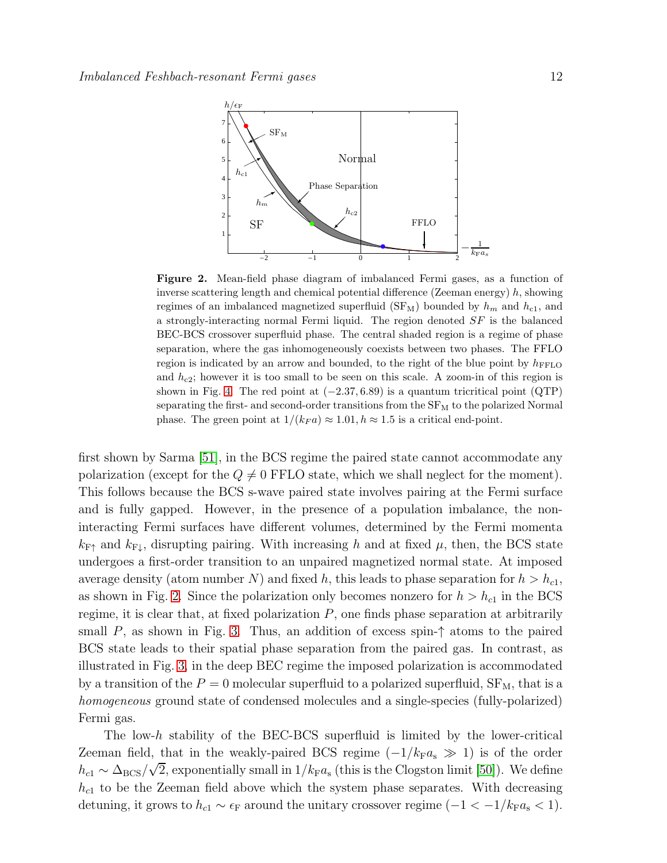

<span id="page-12-0"></span>Figure 2. Mean-field phase diagram of imbalanced Fermi gases, as a function of inverse scattering length and chemical potential difference (Zeeman energy)  $h$ , showing regimes of an imbalanced magnetized superfluid  $(SF_M)$  bounded by  $h_m$  and  $h_{c1}$ , and a strongly-interacting normal Fermi liquid. The region denoted  $SF$  is the balanced BEC-BCS crossover superfluid phase. The central shaded region is a regime of phase separation, where the gas inhomogeneously coexists between two phases. The FFLO region is indicated by an arrow and bounded, to the right of the blue point by  $h_{\text{FFLO}}$ and  $h_{c2}$ ; however it is too small to be seen on this scale. A zoom-in of this region is shown in Fig. [4.](#page-16-0) The red point at  $(-2.37, 6.89)$  is a quantum tricritical point (QTP) separating the first- and second-order transitions from the  $SF<sub>M</sub>$  to the polarized Normal phase. The green point at  $1/(k_F a) \approx 1.01, h \approx 1.5$  is a critical end-point.

first shown by Sarma [\[51\]](#page-35-27), in the BCS regime the paired state cannot accommodate any polarization (except for the  $Q \neq 0$  FFLO state, which we shall neglect for the moment). This follows because the BCS s-wave paired state involves pairing at the Fermi surface and is fully gapped. However, in the presence of a population imbalance, the noninteracting Fermi surfaces have different volumes, determined by the Fermi momenta  $k_{\text{F}\uparrow}$  and  $k_{\text{F}\downarrow}$ , disrupting pairing. With increasing h and at fixed  $\mu$ , then, the BCS state undergoes a first-order transition to an unpaired magnetized normal state. At imposed average density (atom number N) and fixed h, this leads to phase separation for  $h > h_{c1}$ , as shown in Fig. [2.](#page-12-0) Since the polarization only becomes nonzero for  $h > h_{c1}$  in the BCS regime, it is clear that, at fixed polarization  $P$ , one finds phase separation at arbitrarily small P, as shown in Fig. [3.](#page-13-0) Thus, an addition of excess spin- $\uparrow$  atoms to the paired BCS state leads to their spatial phase separation from the paired gas. In contrast, as illustrated in Fig. [3,](#page-13-0) in the deep BEC regime the imposed polarization is accommodated by a transition of the  $P = 0$  molecular superfluid to a polarized superfluid,  $SF_{M}$ , that is a *homogeneous* ground state of condensed molecules and a single-species (fully-polarized) Fermi gas.

The low-h stability of the BEC-BCS superfluid is limited by the lower-critical Zeeman field, that in the weakly-paired BCS regime  $(-1/k_{\rm F}a_{\rm s} \gg 1)$  is of the order  $h_{c1} \sim \Delta_{\rm BCS}/\sqrt{2}$ , exponentially small in  $1/k_{\rm F}a_{\rm s}$  (this is the Clogston limit [\[50\]](#page-35-26)). We define  $h_{c1}$  to be the Zeeman field above which the system phase separates. With decreasing detuning, it grows to  $h_{c1} \sim \epsilon_F$  around the unitary crossover regime  $(-1 < -1/k_F a_s < 1)$ .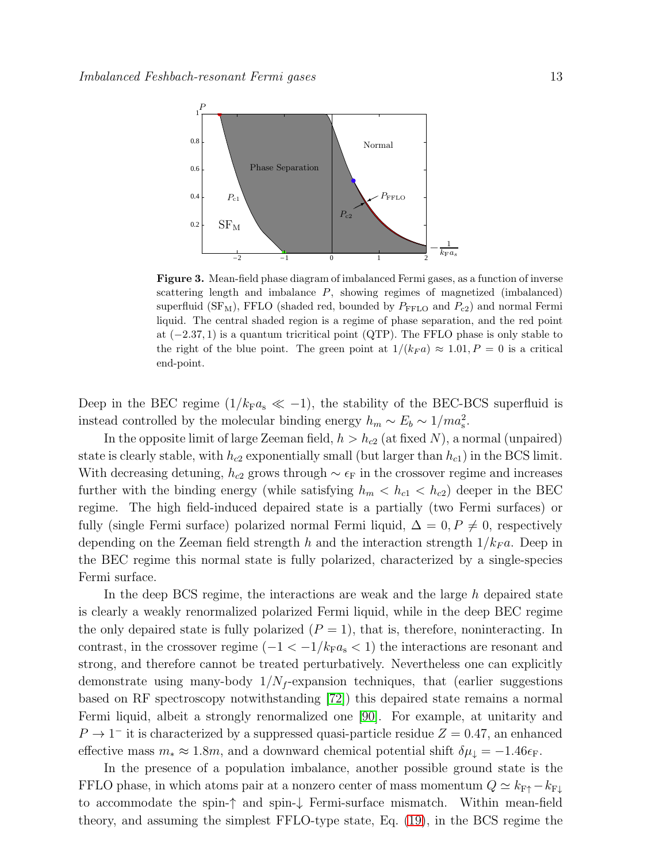

<span id="page-13-0"></span>Figure 3. Mean-field phase diagram of imbalanced Fermi gases, as a function of inverse scattering length and imbalance P, showing regimes of magnetized (imbalanced) superfluid  $(SF_M)$ , FFLO (shaded red, bounded by  $P_{\text{FFLO}}$  and  $P_{c2}$ ) and normal Fermi liquid. The central shaded region is a regime of phase separation, and the red point at  $(-2.37, 1)$  is a quantum tricritical point (QTP). The FFLO phase is only stable to the right of the blue point. The green point at  $1/(k_F a) \approx 1.01, P = 0$  is a critical end-point.

Deep in the BEC regime  $(1/k_F a_s \ll -1)$ , the stability of the BEC-BCS superfluid is instead controlled by the molecular binding energy  $h_m \sim E_b \sim 1/ma_s^2$ .

In the opposite limit of large Zeeman field,  $h > h_{c2}$  (at fixed N), a normal (unpaired) state is clearly stable, with  $h_{c2}$  exponentially small (but larger than  $h_{c1}$ ) in the BCS limit. With decreasing detuning,  $h_{c2}$  grows through  $\sim \epsilon_F$  in the crossover regime and increases further with the binding energy (while satisfying  $h_m < h_{c1} < h_{c2}$ ) deeper in the BEC regime. The high field-induced depaired state is a partially (two Fermi surfaces) or fully (single Fermi surface) polarized normal Fermi liquid,  $\Delta = 0, P \neq 0$ , respectively depending on the Zeeman field strength h and the interaction strength  $1/k_F a$ . Deep in the BEC regime this normal state is fully polarized, characterized by a single-species Fermi surface.

In the deep BCS regime, the interactions are weak and the large  $h$  depaired state is clearly a weakly renormalized polarized Fermi liquid, while in the deep BEC regime the only depaired state is fully polarized  $(P = 1)$ , that is, therefore, noninteracting. In contrast, in the crossover regime  $(-1 < -1/k_{\rm F}a_{\rm s} < 1)$  the interactions are resonant and strong, and therefore cannot be treated perturbatively. Nevertheless one can explicitly demonstrate using many-body  $1/N_f$ -expansion techniques, that (earlier suggestions based on RF spectroscopy notwithstanding [\[72\]](#page-36-10)) this depaired state remains a normal Fermi liquid, albeit a strongly renormalized one [\[90\]](#page-36-28). For example, at unitarity and  $P \to 1^-$  it is characterized by a suppressed quasi-particle residue  $Z = 0.47$ , an enhanced effective mass  $m_* \approx 1.8m$ , and a downward chemical potential shift  $\delta \mu_{\perp} = -1.46\epsilon_F$ .

In the presence of a population imbalance, another possible ground state is the FFLO phase, in which atoms pair at a nonzero center of mass momentum  $Q \simeq k_{\text{F} \uparrow} - k_{\text{F} \downarrow}$ to accommodate the spin-↑ and spin-↓ Fermi-surface mismatch. Within mean-field theory, and assuming the simplest FFLO-type state, Eq. [\(19\)](#page-10-2), in the BCS regime the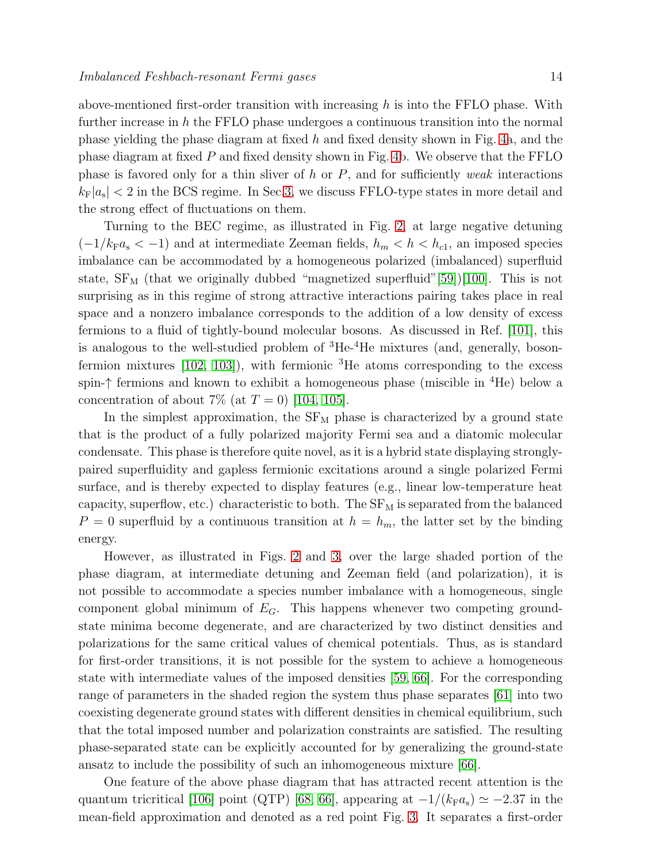above-mentioned first-order transition with increasing  $h$  is into the FFLO phase. With further increase in h the FFLO phase undergoes a continuous transition into the normal phase yielding the phase diagram at fixed h and fixed density shown in Fig. [4a](#page-16-0), and the phase diagram at fixed P and fixed density shown in Fig. [4b](#page-16-0). We observe that the FFLO phase is favored only for a thin sliver of h or P, and for sufficiently *weak* interactions  $|k_{\text{F}}|a_{\text{s}}| < 2$  in the BCS regime. In Sec[.3,](#page-18-0) we discuss FFLO-type states in more detail and the strong effect of fluctuations on them.

Turning to the BEC regime, as illustrated in Fig. [2,](#page-12-0) at large negative detuning  $(-1/k_F a_s < -1)$  and at intermediate Zeeman fields,  $h_m < h < h_{c1}$ , an imposed species imbalance can be accommodated by a homogeneous polarized (imbalanced) superfluid state,  $SF_{M}$  (that we originally dubbed "magnetized superfluid"[\[59\]](#page-35-35))[\[100\]](#page-36-38). This is not surprising as in this regime of strong attractive interactions pairing takes place in real space and a nonzero imbalance corresponds to the addition of a low density of excess fermions to a fluid of tightly-bound molecular bosons. As discussed in Ref. [\[101\]](#page-36-39), this is analogous to the well-studied problem of  ${}^{3}\text{He}{}^{4}\text{He}$  mixtures (and, generally, bosonfermion mixtures  $[102, 103]$  $[102, 103]$ , with fermionic <sup>3</sup>He atoms corresponding to the excess spin- $\uparrow$  fermions and known to exhibit a homogeneous phase (miscible in  ${}^{4}$ He) below a concentration of about 7% (at  $T = 0$ ) [\[104,](#page-37-0) [105\]](#page-37-1).

In the simplest approximation, the  $SF_M$  phase is characterized by a ground state that is the product of a fully polarized majority Fermi sea and a diatomic molecular condensate. This phase is therefore quite novel, as it is a hybrid state displaying stronglypaired superfluidity and gapless fermionic excitations around a single polarized Fermi surface, and is thereby expected to display features (e.g., linear low-temperature heat capacity, superflow, etc.) characteristic to both. The  $SF<sub>M</sub>$  is separated from the balanced  $P = 0$  superfluid by a continuous transition at  $h = h_m$ , the latter set by the binding energy.

However, as illustrated in Figs. [2](#page-12-0) and [3,](#page-13-0) over the large shaded portion of the phase diagram, at intermediate detuning and Zeeman field (and polarization), it is not possible to accommodate a species number imbalance with a homogeneous, single component global minimum of  $E_G$ . This happens whenever two competing groundstate minima become degenerate, and are characterized by two distinct densities and polarizations for the same critical values of chemical potentials. Thus, as is standard for first-order transitions, it is not possible for the system to achieve a homogeneous state with intermediate values of the imposed densities [\[59,](#page-35-35) [66\]](#page-36-4). For the corresponding range of parameters in the shaded region the system thus phase separates [\[61\]](#page-35-37) into two coexisting degenerate ground states with different densities in chemical equilibrium, such that the total imposed number and polarization constraints are satisfied. The resulting phase-separated state can be explicitly accounted for by generalizing the ground-state ansatz to include the possibility of such an inhomogeneous mixture [\[66\]](#page-36-4).

One feature of the above phase diagram that has attracted recent attention is the quantum tricritical [\[106\]](#page-37-2) point (QTP) [\[68,](#page-36-6) [66\]](#page-36-4), appearing at  $-1/(k_{\rm F}a_{\rm s}) \simeq -2.37$  in the mean-field approximation and denoted as a red point Fig. [3.](#page-13-0) It separates a first-order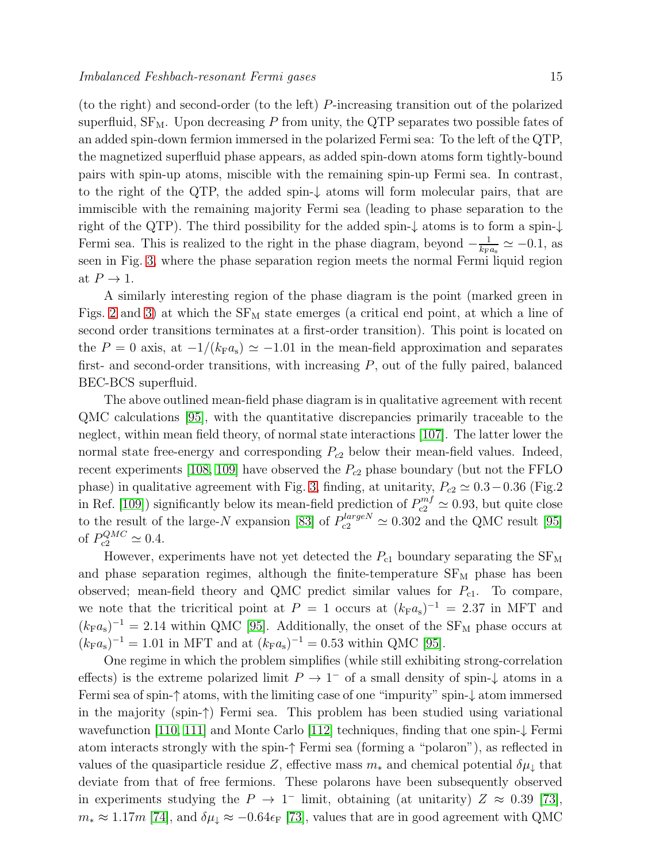(to the right) and second-order (to the left) P-increasing transition out of the polarized superfluid,  $SF_{M}$ . Upon decreasing P from unity, the QTP separates two possible fates of an added spin-down fermion immersed in the polarized Fermi sea: To the left of the QTP, the magnetized superfluid phase appears, as added spin-down atoms form tightly-bound pairs with spin-up atoms, miscible with the remaining spin-up Fermi sea. In contrast, to the right of the QTP, the added spin-↓ atoms will form molecular pairs, that are immiscible with the remaining majority Fermi sea (leading to phase separation to the right of the QTP). The third possibility for the added spin-↓ atoms is to form a spin-↓ Fermi sea. This is realized to the right in the phase diagram, beyond  $-\frac{1}{k_{\text{F}}}$  $\frac{1}{k_{\rm F}a_{\rm s}}\simeq -0.1$ , as seen in Fig. [3,](#page-13-0) where the phase separation region meets the normal Fermi liquid region at  $P \to 1$ .

A similarly interesting region of the phase diagram is the point (marked green in Figs. [2](#page-12-0) and [3\)](#page-13-0) at which the  $SF_{M}$  state emerges (a critical end point, at which a line of second order transitions terminates at a first-order transition). This point is located on the  $P = 0$  axis, at  $-1/(k_{\text{F}}a_{\text{s}}) \simeq -1.01$  in the mean-field approximation and separates first- and second-order transitions, with increasing  $P$ , out of the fully paired, balanced BEC-BCS superfluid.

The above outlined mean-field phase diagram is in qualitative agreement with recent QMC calculations [\[95\]](#page-36-33), with the quantitative discrepancies primarily traceable to the neglect, within mean field theory, of normal state interactions [\[107\]](#page-37-3). The latter lower the normal state free-energy and corresponding  $P_{c2}$  below their mean-field values. Indeed, recent experiments [\[108,](#page-37-4) [109\]](#page-37-5) have observed the  $P_{c2}$  phase boundary (but not the FFLO phase) in qualitative agreement with Fig. [3,](#page-13-0) finding, at unitarity,  $P_{c2} \simeq 0.3-0.36$  (Fig.2 in Ref. [\[109\]](#page-37-5)) significantly below its mean-field prediction of  $P_{c2}^{mf} \simeq 0.93$ , but quite close to the result of the large-N expansion [\[83\]](#page-36-21) of  $P_{c2}^{largeN} \simeq 0.302$  and the QMC result [\[95\]](#page-36-33) of  $P_{c2}^{QMC} \simeq 0.4$ .

However, experiments have not yet detected the  $P_{c1}$  boundary separating the  $SF_M$ and phase separation regimes, although the finite-temperature  $SF<sub>M</sub>$  phase has been observed; mean-field theory and QMC predict similar values for  $P_{c1}$ . To compare, we note that the tricritical point at  $P = 1$  occurs at  $(k_{\rm F}a_{\rm s})^{-1} = 2.37$  in MFT and  $(k_F a_s)^{-1} = 2.14$  within QMC [\[95\]](#page-36-33). Additionally, the onset of the SF<sub>M</sub> phase occurs at  $(k_{\rm F}a_{\rm s})^{-1} = 1.01$  in MFT and at  $(k_{\rm F}a_{\rm s})^{-1} = 0.53$  within QMC [\[95\]](#page-36-33).

One regime in which the problem simplifies (while still exhibiting strong-correlation effects) is the extreme polarized limit  $P \to 1^-$  of a small density of spin- $\downarrow$  atoms in a Fermi sea of spin-↑ atoms, with the limiting case of one "impurity" spin-↓ atom immersed in the majority (spin-↑) Fermi sea. This problem has been studied using variational wavefunction [\[110,](#page-37-6) [111\]](#page-37-7) and Monte Carlo [\[112\]](#page-37-8) techniques, finding that one spin-↓ Fermi atom interacts strongly with the spin-↑ Fermi sea (forming a "polaron"), as reflected in values of the quasiparticle residue Z, effective mass  $m_*$  and chemical potential  $\delta \mu_{\downarrow}$  that deviate from that of free fermions. These polarons have been subsequently observed in experiments studying the  $P \to 1^-$  limit, obtaining (at unitarity)  $Z \approx 0.39$  [\[73\]](#page-36-11),  $m_* \approx 1.17m$  [\[74\]](#page-36-12), and  $\delta \mu_{\downarrow} \approx -0.64\epsilon_F$  [\[73\]](#page-36-11), values that are in good agreement with QMC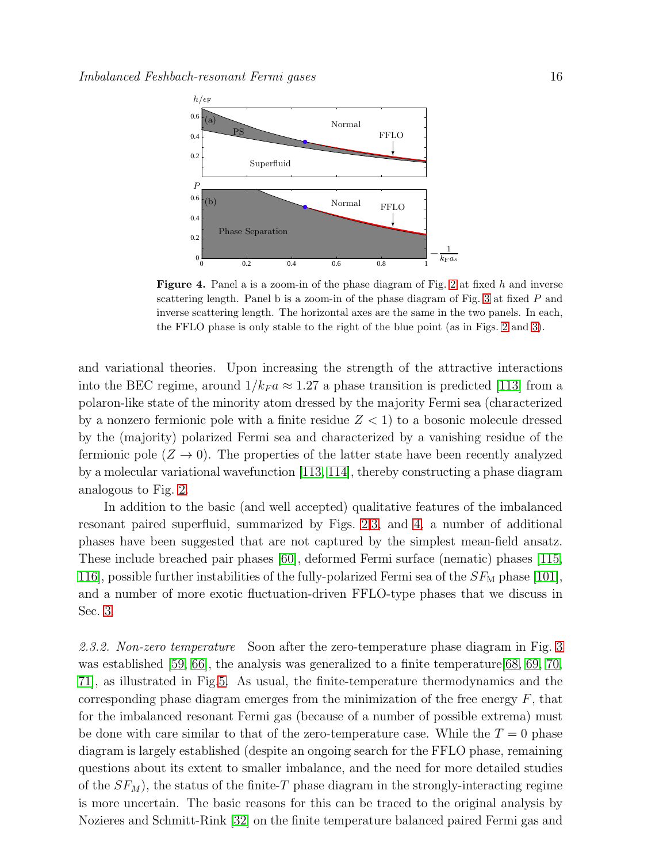

<span id="page-16-0"></span>**Figure 4.** Panel a is a zoom-in of the phase diagram of Fig. [2](#page-12-0) at fixed h and inverse scattering length. Panel b is a zoom-in of the phase diagram of Fig. [3](#page-13-0) at fixed  $P$  and inverse scattering length. The horizontal axes are the same in the two panels. In each, the FFLO phase is only stable to the right of the blue point (as in Figs. [2](#page-12-0) and [3\)](#page-13-0).

and variational theories. Upon increasing the strength of the attractive interactions into the BEC regime, around  $1/k_F a \approx 1.27$  a phase transition is predicted [\[113\]](#page-37-9) from a polaron-like state of the minority atom dressed by the majority Fermi sea (characterized by a nonzero fermionic pole with a finite residue  $Z < 1$ ) to a bosonic molecule dressed by the (majority) polarized Fermi sea and characterized by a vanishing residue of the fermionic pole  $(Z \to 0)$ . The properties of the latter state have been recently analyzed by a molecular variational wavefunction [\[113,](#page-37-9) [114\]](#page-37-10), thereby constructing a phase diagram analogous to Fig. [2.](#page-12-0)

In addition to the basic (and well accepted) qualitative features of the imbalanced resonant paired superfluid, summarized by Figs. [2,](#page-12-0)[3,](#page-13-0) and [4,](#page-16-0) a number of additional phases have been suggested that are not captured by the simplest mean-field ansatz. These include breached pair phases [\[60\]](#page-35-36), deformed Fermi surface (nematic) phases [\[115,](#page-37-11) [116\]](#page-37-12), possible further instabilities of the fully-polarized Fermi sea of the  $SF_{\rm M}$  phase [\[101\]](#page-36-39), and a number of more exotic fluctuation-driven FFLO-type phases that we discuss in Sec. [3.](#page-18-0)

*2.3.2. Non-zero temperature* Soon after the zero-temperature phase diagram in Fig. [3](#page-13-0) was established [\[59,](#page-35-35) [66\]](#page-36-4), the analysis was generalized to a finite temperature[\[68,](#page-36-6) [69,](#page-36-7) [70,](#page-36-8) [71\]](#page-36-9), as illustrated in Fig[.5.](#page-17-0) As usual, the finite-temperature thermodynamics and the corresponding phase diagram emerges from the minimization of the free energy  $F$ , that for the imbalanced resonant Fermi gas (because of a number of possible extrema) must be done with care similar to that of the zero-temperature case. While the  $T = 0$  phase diagram is largely established (despite an ongoing search for the FFLO phase, remaining questions about its extent to smaller imbalance, and the need for more detailed studies of the  $SFM$ , the status of the finite-T phase diagram in the strongly-interacting regime is more uncertain. The basic reasons for this can be traced to the original analysis by Nozieres and Schmitt-Rink [\[32\]](#page-35-8) on the finite temperature balanced paired Fermi gas and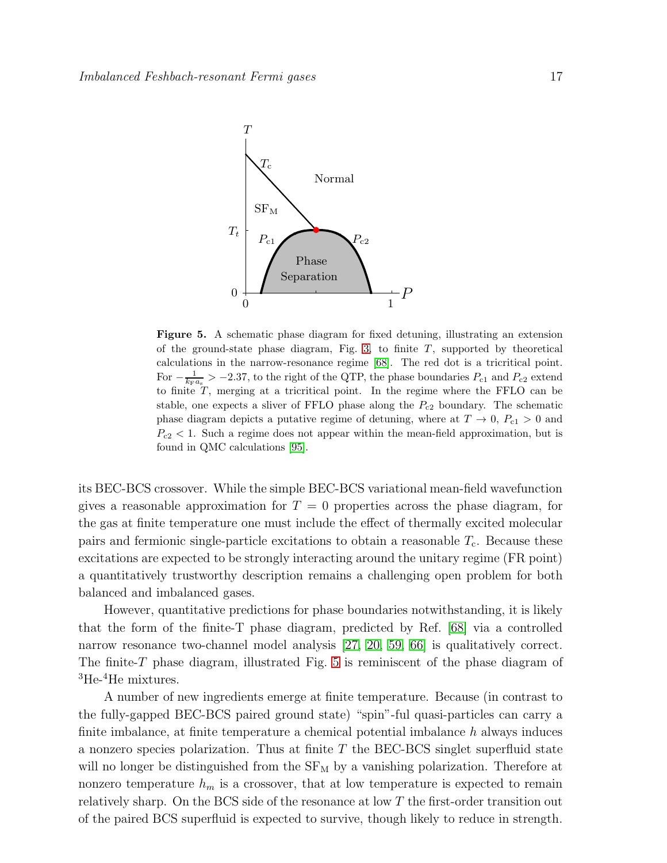

<span id="page-17-0"></span>Figure 5. A schematic phase diagram for fixed detuning, illustrating an extension of the ground-state phase diagram, Fig. [3,](#page-13-0) to finite  $T$ , supported by theoretical calculations in the narrow-resonance regime [\[68\]](#page-36-6). The red dot is a tricritical point. For  $-\frac{1}{k_{\text{F}}}}$  $\frac{1}{k_{\text{F}}a_{\text{s}}}$  > -2.37, to the right of the QTP, the phase boundaries  $P_{c1}$  and  $P_{c2}$  extend to finite  $T$ , merging at a tricritical point. In the regime where the FFLO can be stable, one expects a sliver of FFLO phase along the  $P_{c2}$  boundary. The schematic phase diagram depicts a putative regime of detuning, where at  $T \to 0$ ,  $P_{c1} > 0$  and  $P_{c2}$  < 1. Such a regime does not appear within the mean-field approximation, but is found in QMC calculations [\[95\]](#page-36-33).

its BEC-BCS crossover. While the simple BEC-BCS variational mean-field wavefunction gives a reasonable approximation for  $T = 0$  properties across the phase diagram, for the gas at finite temperature one must include the effect of thermally excited molecular pairs and fermionic single-particle excitations to obtain a reasonable  $T_c$ . Because these excitations are expected to be strongly interacting around the unitary regime (FR point) a quantitatively trustworthy description remains a challenging open problem for both balanced and imbalanced gases.

However, quantitative predictions for phase boundaries notwithstanding, it is likely that the form of the finite-T phase diagram, predicted by Ref. [\[68\]](#page-36-6) via a controlled narrow resonance two-channel model analysis [\[27,](#page-35-3) [20,](#page-34-19) [59,](#page-35-35) [66\]](#page-36-4) is qualitatively correct. The finite-T phase diagram, illustrated Fig. [5](#page-17-0) is reminiscent of the phase diagram of <sup>3</sup>He<sup>-4</sup>He mixtures.

A number of new ingredients emerge at finite temperature. Because (in contrast to the fully-gapped BEC-BCS paired ground state) "spin"-ful quasi-particles can carry a finite imbalance, at finite temperature a chemical potential imbalance  $h$  always induces a nonzero species polarization. Thus at finite  $T$  the BEC-BCS singlet superfluid state will no longer be distinguished from the  $SF_M$  by a vanishing polarization. Therefore at nonzero temperature  $h_m$  is a crossover, that at low temperature is expected to remain relatively sharp. On the BCS side of the resonance at low T the first-order transition out of the paired BCS superfluid is expected to survive, though likely to reduce in strength.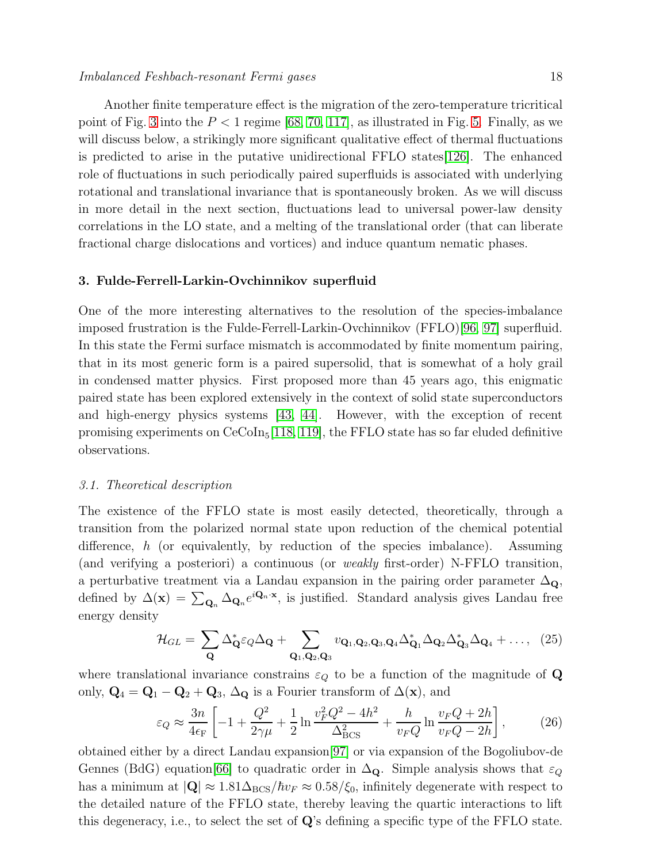Another finite temperature effect is the migration of the zero-temperature tricritical point of Fig. [3](#page-13-0) into the  $P < 1$  regime [\[68,](#page-36-6) [70,](#page-36-8) [117\]](#page-37-13), as illustrated in Fig. [5.](#page-17-0) Finally, as we will discuss below, a strikingly more significant qualitative effect of thermal fluctuations is predicted to arise in the putative unidirectional FFLO states[\[126\]](#page-37-14). The enhanced role of fluctuations in such periodically paired superfluids is associated with underlying rotational and translational invariance that is spontaneously broken. As we will discuss in more detail in the next section, fluctuations lead to universal power-law density correlations in the LO state, and a melting of the translational order (that can liberate fractional charge dislocations and vortices) and induce quantum nematic phases.

### <span id="page-18-0"></span>3. Fulde-Ferrell-Larkin-Ovchinnikov superfluid

One of the more interesting alternatives to the resolution of the species-imbalance imposed frustration is the Fulde-Ferrell-Larkin-Ovchinnikov (FFLO)[\[96,](#page-36-34) [97\]](#page-36-35) superfluid. In this state the Fermi surface mismatch is accommodated by finite momentum pairing, that in its most generic form is a paired supersolid, that is somewhat of a holy grail in condensed matter physics. First proposed more than 45 years ago, this enigmatic paired state has been explored extensively in the context of solid state superconductors and high-energy physics systems [\[43,](#page-35-19) [44\]](#page-35-20). However, with the exception of recent promising experiments on  $CeCoIn<sub>5</sub>[118, 119]$  $CeCoIn<sub>5</sub>[118, 119]$  $CeCoIn<sub>5</sub>[118, 119]$ , the FFLO state has so far eluded definitive observations.

#### *3.1. Theoretical description*

The existence of the FFLO state is most easily detected, theoretically, through a transition from the polarized normal state upon reduction of the chemical potential difference,  $h$  (or equivalently, by reduction of the species imbalance). Assuming (and verifying a posteriori) a continuous (or *weakly* first-order) N-FFLO transition, a perturbative treatment via a Landau expansion in the pairing order parameter  $\Delta_{\mathbf{Q}},$ defined by  $\Delta(\mathbf{x}) = \sum_{\mathbf{Q}_n} \Delta_{\mathbf{Q}_n} e^{i\mathbf{Q}_n \cdot \mathbf{x}}$ , is justified. Standard analysis gives Landau free energy density

$$
\mathcal{H}_{GL} = \sum_{\mathbf{Q}} \Delta_{\mathbf{Q}}^* \varepsilon_Q \Delta_{\mathbf{Q}} + \sum_{\mathbf{Q}_1, \mathbf{Q}_2, \mathbf{Q}_3} v_{\mathbf{Q}_1, \mathbf{Q}_2, \mathbf{Q}_3, \mathbf{Q}_4} \Delta_{\mathbf{Q}_1}^* \Delta_{\mathbf{Q}_2} \Delta_{\mathbf{Q}_3}^* \Delta_{\mathbf{Q}_4} + \dots, (25)
$$

where translational invariance constrains  $\varepsilon_Q$  to be a function of the magnitude of Q only,  $\mathbf{Q}_4 = \mathbf{Q}_1 - \mathbf{Q}_2 + \mathbf{Q}_3$ ,  $\Delta_{\mathbf{Q}}$  is a Fourier transform of  $\Delta(\mathbf{x})$ , and

$$
\varepsilon_Q \approx \frac{3n}{4\epsilon_F} \left[ -1 + \frac{Q^2}{2\gamma\mu} + \frac{1}{2} \ln \frac{v_F^2 Q^2 - 4h^2}{\Delta_{\rm BCS}^2} + \frac{h}{v_F Q} \ln \frac{v_F Q + 2h}{v_F Q - 2h} \right],\tag{26}
$$

obtained either by a direct Landau expansion[\[97\]](#page-36-35) or via expansion of the Bogoliubov-de Gennes (BdG) equation[\[66\]](#page-36-4) to quadratic order in  $\Delta_{\mathbf{Q}}$ . Simple analysis shows that  $\varepsilon_Q$ has a minimum at  $|{\bf Q}| \approx 1.81 \Delta_{BCS}/\hbar v_F \approx 0.58/\xi_0$ , infinitely degenerate with respect to the detailed nature of the FFLO state, thereby leaving the quartic interactions to lift this degeneracy, i.e., to select the set of  $\mathbf{Q}$ 's defining a specific type of the FFLO state.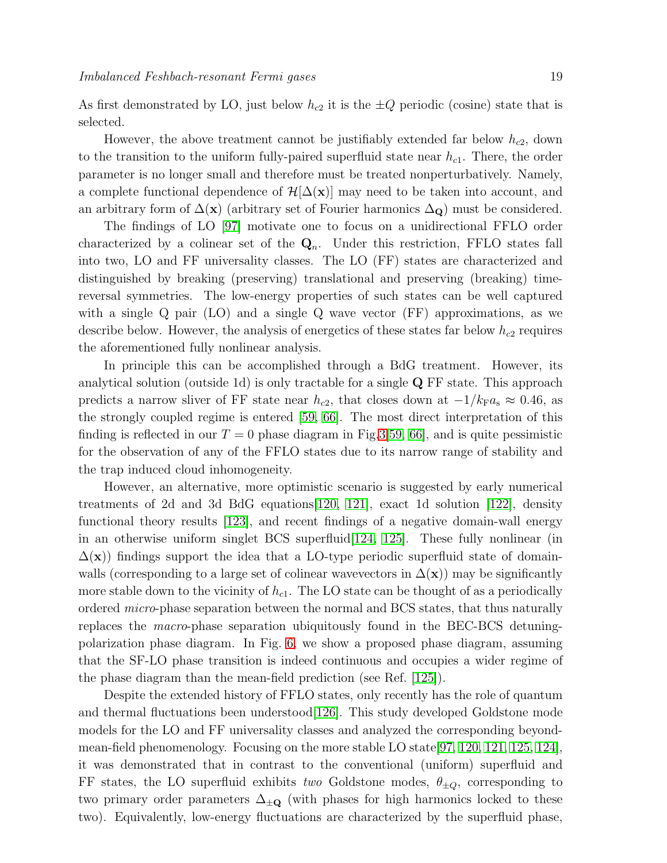As first demonstrated by LO, just below  $h_{c2}$  it is the  $\pm Q$  periodic (cosine) state that is selected.

However, the above treatment cannot be justifiably extended far below  $h_{c2}$ , down to the transition to the uniform fully-paired superfluid state near  $h_{c1}$ . There, the order parameter is no longer small and therefore must be treated nonperturbatively. Namely, a complete functional dependence of  $\mathcal{H}[\Delta(\mathbf{x})]$  may need to be taken into account, and an arbitrary form of  $\Delta(\mathbf{x})$  (arbitrary set of Fourier harmonics  $\Delta_{\mathbf{Q}}$ ) must be considered.

The findings of LO [\[97\]](#page-36-35) motivate one to focus on a unidirectional FFLO order characterized by a colinear set of the  $Q_n$ . Under this restriction, FFLO states fall into two, LO and FF universality classes. The LO (FF) states are characterized and distinguished by breaking (preserving) translational and preserving (breaking) timereversal symmetries. The low-energy properties of such states can be well captured with a single Q pair (LO) and a single Q wave vector (FF) approximations, as we describe below. However, the analysis of energetics of these states far below  $h_{c2}$  requires the aforementioned fully nonlinear analysis.

In principle this can be accomplished through a BdG treatment. However, its analytical solution (outside 1d) is only tractable for a single Q FF state. This approach predicts a narrow sliver of FF state near  $h_{c2}$ , that closes down at  $-1/k_{\rm F}a_{\rm s} \approx 0.46$ , as the strongly coupled regime is entered [\[59,](#page-35-35) [66\]](#page-36-4). The most direct interpretation of this finding is reflected in our  $T = 0$  phase diagram in Fig. 3[\[59,](#page-35-35) [66\]](#page-36-4), and is quite pessimistic for the observation of any of the FFLO states due to its narrow range of stability and the trap induced cloud inhomogeneity.

However, an alternative, more optimistic scenario is suggested by early numerical treatments of 2d and 3d BdG equations[\[120,](#page-37-17) [121\]](#page-37-18), exact 1d solution [\[122\]](#page-37-19), density functional theory results [\[123\]](#page-37-20), and recent findings of a negative domain-wall energy in an otherwise uniform singlet BCS superfluid[\[124,](#page-37-21) [125\]](#page-37-22). These fully nonlinear (in  $\Delta(\mathbf{x})$  findings support the idea that a LO-type periodic superfluid state of domainwalls (corresponding to a large set of colinear wavevectors in  $\Delta(\mathbf{x})$ ) may be significantly more stable down to the vicinity of  $h_{c1}$ . The LO state can be thought of as a periodically ordered *micro*-phase separation between the normal and BCS states, that thus naturally replaces the *macro*-phase separation ubiquitously found in the BEC-BCS detuningpolarization phase diagram. In Fig. [6,](#page-20-0) we show a proposed phase diagram, assuming that the SF-LO phase transition is indeed continuous and occupies a wider regime of the phase diagram than the mean-field prediction (see Ref. [\[125\]](#page-37-22)).

Despite the extended history of FFLO states, only recently has the role of quantum and thermal fluctuations been understood[\[126\]](#page-37-14). This study developed Goldstone mode models for the LO and FF universality classes and analyzed the corresponding beyondmean-field phenomenology. Focusing on the more stable LO state[\[97,](#page-36-35) [120,](#page-37-17) [121,](#page-37-18) [125,](#page-37-22) [124\]](#page-37-21), it was demonstrated that in contrast to the conventional (uniform) superfluid and FF states, the LO superfluid exhibits *two* Goldstone modes,  $\theta_{\pm Q}$ , corresponding to two primary order parameters  $\Delta_{\pm \mathbf{Q}}$  (with phases for high harmonics locked to these two). Equivalently, low-energy fluctuations are characterized by the superfluid phase,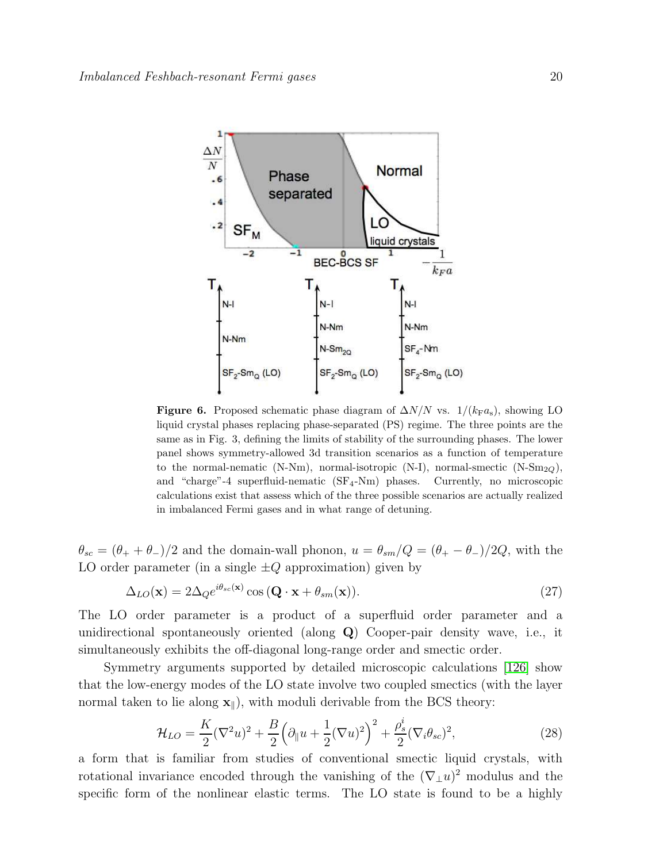

<span id="page-20-0"></span>**Figure 6.** Proposed schematic phase diagram of  $\Delta N/N$  vs.  $1/(k_{\text{F}}a_{\text{s}})$ , showing LO liquid crystal phases replacing phase-separated (PS) regime. The three points are the same as in Fig. 3, defining the limits of stability of the surrounding phases. The lower panel shows symmetry-allowed 3d transition scenarios as a function of temperature to the normal-nematic (N-Nm), normal-isotropic (N-I), normal-smectic  $(N-Sm_{2O})$ , and "charge"-4 superfluid-nematic  $(SF_4-Nm)$  phases. Currently, no microscopic calculations exist that assess which of the three possible scenarios are actually realized in imbalanced Fermi gases and in what range of detuning.

 $\theta_{sc} = (\theta_+ + \theta_-)/2$  and the domain-wall phonon,  $u = \theta_{sm}/Q = (\theta_+ - \theta_-)/2Q$ , with the LO order parameter (in a single  $\pm Q$  approximation) given by

<span id="page-20-1"></span>
$$
\Delta_{LO}(\mathbf{x}) = 2\Delta_{Q}e^{i\theta_{sc}(\mathbf{x})}\cos{(\mathbf{Q}\cdot\mathbf{x} + \theta_{sm}(\mathbf{x}))}.
$$
\n(27)

The LO order parameter is a product of a superfluid order parameter and a unidirectional spontaneously oriented (along Q) Cooper-pair density wave, i.e., it simultaneously exhibits the off-diagonal long-range order and smectic order.

Symmetry arguments supported by detailed microscopic calculations [\[126\]](#page-37-14) show that the low-energy modes of the LO state involve two coupled smectics (with the layer normal taken to lie along  $\mathbf{x}_{\parallel}$ , with moduli derivable from the BCS theory:

$$
\mathcal{H}_{LO} = \frac{K}{2} (\nabla^2 u)^2 + \frac{B}{2} \left( \partial_{\parallel} u + \frac{1}{2} (\nabla u)^2 \right)^2 + \frac{\rho_s^i}{2} (\nabla_i \theta_{sc})^2, \tag{28}
$$

a form that is familiar from studies of conventional smectic liquid crystals, with rotational invariance encoded through the vanishing of the  $(\nabla_{\perp}u)^2$  modulus and the specific form of the nonlinear elastic terms. The LO state is found to be a highly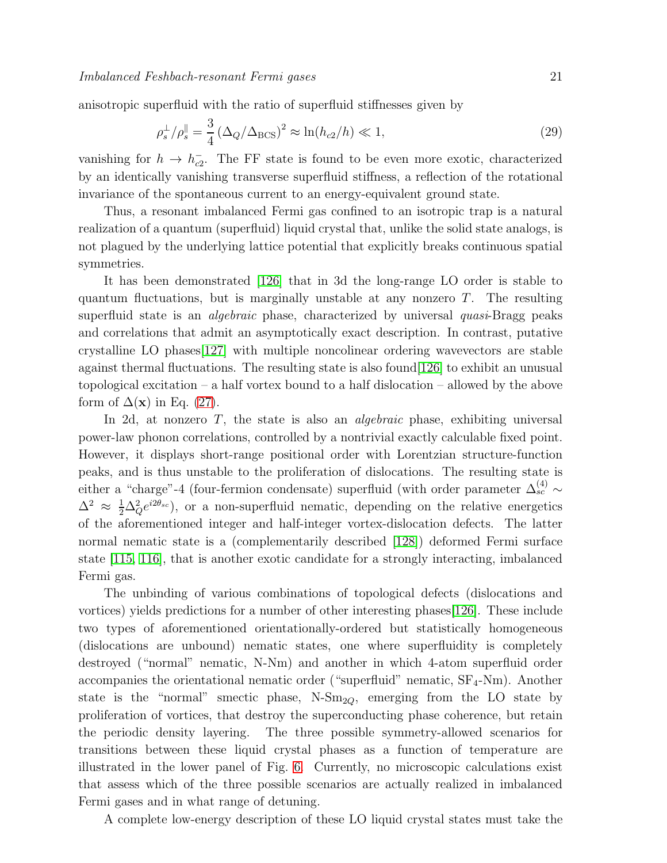anisotropic superfluid with the ratio of superfluid stiffnesses given by

<span id="page-21-0"></span>
$$
\rho_s^{\perp}/\rho_s^{\parallel} = \frac{3}{4} \left(\Delta_Q/\Delta_{\rm BCS}\right)^2 \approx \ln(h_{c2}/h) \ll 1,\tag{29}
$$

vanishing for  $h \to h_{c2}^-$ . The FF state is found to be even more exotic, characterized by an identically vanishing transverse superfluid stiffness, a reflection of the rotational invariance of the spontaneous current to an energy-equivalent ground state.

Thus, a resonant imbalanced Fermi gas confined to an isotropic trap is a natural realization of a quantum (superfluid) liquid crystal that, unlike the solid state analogs, is not plagued by the underlying lattice potential that explicitly breaks continuous spatial symmetries.

It has been demonstrated [\[126\]](#page-37-14) that in 3d the long-range LO order is stable to quantum fluctuations, but is marginally unstable at any nonzero  $T$ . The resulting superfluid state is an *algebraic* phase, characterized by universal *quasi*-Bragg peaks and correlations that admit an asymptotically exact description. In contrast, putative crystalline LO phases[\[127\]](#page-37-23) with multiple noncolinear ordering wavevectors are stable against thermal fluctuations. The resulting state is also found[\[126\]](#page-37-14) to exhibit an unusual topological excitation – a half vortex bound to a half dislocation – allowed by the above form of  $\Delta(\mathbf{x})$  in Eq. [\(27\)](#page-20-1).

In 2d, at nonzero T, the state is also an *algebraic* phase, exhibiting universal power-law phonon correlations, controlled by a nontrivial exactly calculable fixed point. However, it displays short-range positional order with Lorentzian structure-function peaks, and is thus unstable to the proliferation of dislocations. The resulting state is either a "charge"-4 (four-fermion condensate) superfluid (with order parameter  $\Delta_{sc}^{(4)}$  ∼  $\Delta^2 \approx \frac{1}{2} \Delta_Q^2 e^{i2\theta_{sc}}$ , or a non-superfluid nematic, depending on the relative energetics of the aforementioned integer and half-integer vortex-dislocation defects. The latter normal nematic state is a (complementarily described [\[128\]](#page-37-24)) deformed Fermi surface state [\[115,](#page-37-11) [116\]](#page-37-12), that is another exotic candidate for a strongly interacting, imbalanced Fermi gas.

The unbinding of various combinations of topological defects (dislocations and vortices) yields predictions for a number of other interesting phases[\[126\]](#page-37-14). These include two types of aforementioned orientationally-ordered but statistically homogeneous (dislocations are unbound) nematic states, one where superfluidity is completely destroyed ("normal" nematic, N-Nm) and another in which 4-atom superfluid order accompanies the orientational nematic order ("superfluid" nematic,  $SF_4-Nm$ ). Another state is the "normal" smectic phase,  $N-Sm_{2O}$ , emerging from the LO state by proliferation of vortices, that destroy the superconducting phase coherence, but retain the periodic density layering. The three possible symmetry-allowed scenarios for transitions between these liquid crystal phases as a function of temperature are illustrated in the lower panel of Fig. [6.](#page-20-0) Currently, no microscopic calculations exist that assess which of the three possible scenarios are actually realized in imbalanced Fermi gases and in what range of detuning.

A complete low-energy description of these LO liquid crystal states must take the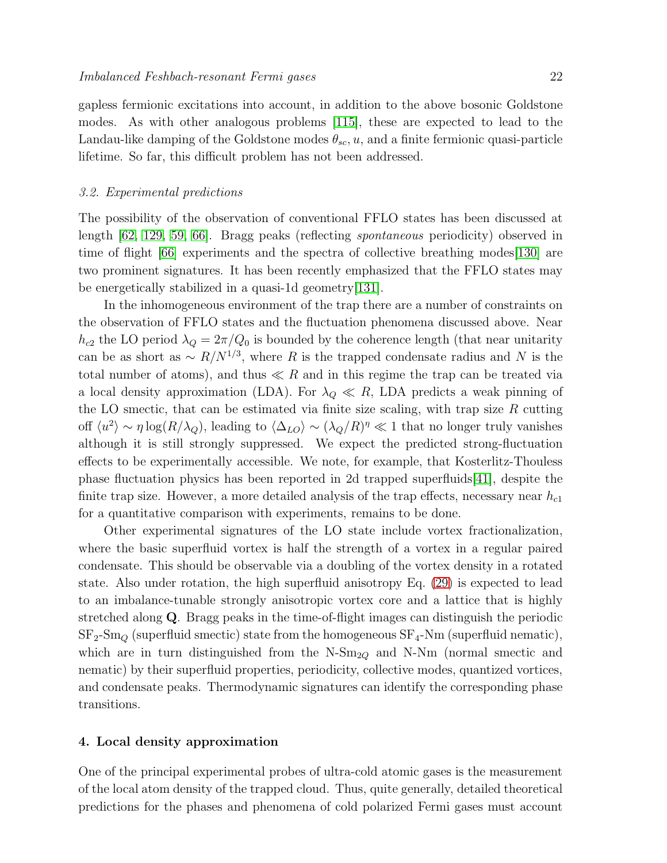gapless fermionic excitations into account, in addition to the above bosonic Goldstone modes. As with other analogous problems [\[115\]](#page-37-11), these are expected to lead to the Landau-like damping of the Goldstone modes  $\theta_{sc}$ , u, and a finite fermionic quasi-particle lifetime. So far, this difficult problem has not been addressed.

## *3.2. Experimental predictions*

The possibility of the observation of conventional FFLO states has been discussed at length [\[62,](#page-36-0) [129,](#page-37-25) [59,](#page-35-35) [66\]](#page-36-4). Bragg peaks (reflecting *spontaneous* periodicity) observed in time of flight [\[66\]](#page-36-4) experiments and the spectra of collective breathing modes[\[130\]](#page-37-26) are two prominent signatures. It has been recently emphasized that the FFLO states may be energetically stabilized in a quasi-1d geometry[\[131\]](#page-37-27).

In the inhomogeneous environment of the trap there are a number of constraints on the observation of FFLO states and the fluctuation phenomena discussed above. Near  $h_{c2}$  the LO period  $\lambda_Q = 2\pi/Q_0$  is bounded by the coherence length (that near unitarity can be as short as  $\sim R/N^{1/3}$ , where R is the trapped condensate radius and N is the total number of atoms), and thus  $\ll R$  and in this regime the trap can be treated via a local density approximation (LDA). For  $\lambda_Q \ll R$ , LDA predicts a weak pinning of the LO smectic, that can be estimated via finite size scaling, with trap size  $R$  cutting off  $\langle u^2 \rangle \sim \eta \log(R/\lambda_Q)$ , leading to  $\langle \Delta_{LO} \rangle \sim (\lambda_Q/R)^{\eta} \ll 1$  that no longer truly vanishes although it is still strongly suppressed. We expect the predicted strong-fluctuation effects to be experimentally accessible. We note, for example, that Kosterlitz-Thouless phase fluctuation physics has been reported in 2d trapped superfluids[\[41\]](#page-35-17), despite the finite trap size. However, a more detailed analysis of the trap effects, necessary near  $h_{c1}$ for a quantitative comparison with experiments, remains to be done.

Other experimental signatures of the LO state include vortex fractionalization, where the basic superfluid vortex is half the strength of a vortex in a regular paired condensate. This should be observable via a doubling of the vortex density in a rotated state. Also under rotation, the high superfluid anisotropy Eq. [\(29\)](#page-21-0) is expected to lead to an imbalance-tunable strongly anisotropic vortex core and a lattice that is highly stretched along Q. Bragg peaks in the time-of-flight images can distinguish the periodic  $SF<sub>2</sub>-Sm<sub>Q</sub>$  (superfluid smectic) state from the homogeneous  $SF<sub>4</sub>-Nm$  (superfluid nematic), which are in turn distinguished from the  $N-Sm_{2O}$  and  $N-Nm$  (normal smectic and nematic) by their superfluid properties, periodicity, collective modes, quantized vortices, and condensate peaks. Thermodynamic signatures can identify the corresponding phase transitions.

## <span id="page-22-0"></span>4. Local density approximation

One of the principal experimental probes of ultra-cold atomic gases is the measurement of the local atom density of the trapped cloud. Thus, quite generally, detailed theoretical predictions for the phases and phenomena of cold polarized Fermi gases must account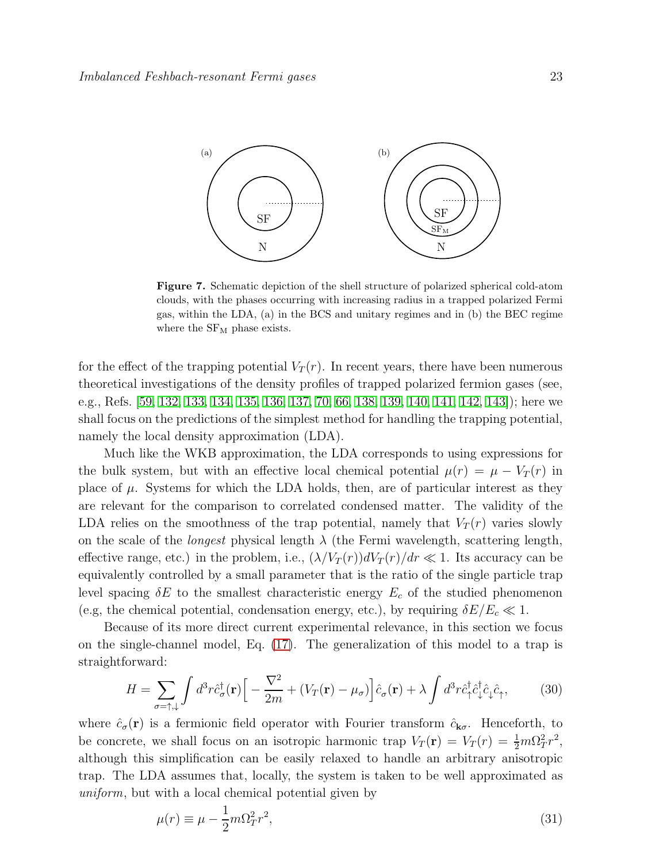

<span id="page-23-0"></span>Figure 7. Schematic depiction of the shell structure of polarized spherical cold-atom clouds, with the phases occurring with increasing radius in a trapped polarized Fermi gas, within the LDA, (a) in the BCS and unitary regimes and in (b) the BEC regime where the  $\rm{SF}_{\rm M}$  phase exists.

for the effect of the trapping potential  $V_T(r)$ . In recent years, there have been numerous theoretical investigations of the density profiles of trapped polarized fermion gases (see, e.g., Refs. [\[59,](#page-35-35) [132,](#page-37-28) [133,](#page-37-29) [134,](#page-37-30) [135,](#page-37-31) [136,](#page-37-32) [137,](#page-37-33) [70,](#page-36-8) [66,](#page-36-4) [138,](#page-37-34) [139,](#page-37-35) [140,](#page-37-36) [141,](#page-37-37) [142,](#page-37-38) [143\]](#page-37-39)); here we shall focus on the predictions of the simplest method for handling the trapping potential, namely the local density approximation (LDA).

Much like the WKB approximation, the LDA corresponds to using expressions for the bulk system, but with an effective local chemical potential  $\mu(r) = \mu - V_T(r)$  in place of  $\mu$ . Systems for which the LDA holds, then, are of particular interest as they are relevant for the comparison to correlated condensed matter. The validity of the LDA relies on the smoothness of the trap potential, namely that  $V_T(r)$  varies slowly on the scale of the *longest* physical length  $\lambda$  (the Fermi wavelength, scattering length, effective range, etc.) in the problem, i.e.,  $(\lambda/V_T(r))dV_T(r)/dr \ll 1$ . Its accuracy can be equivalently controlled by a small parameter that is the ratio of the single particle trap level spacing  $\delta E$  to the smallest characteristic energy  $E_c$  of the studied phenomenon (e.g, the chemical potential, condensation energy, etc.), by requiring  $\delta E/E_c \ll 1$ .

Because of its more direct current experimental relevance, in this section we focus on the single-channel model, Eq. [\(17\)](#page-10-1). The generalization of this model to a trap is straightforward:

$$
H = \sum_{\sigma = \uparrow, \downarrow} \int d^3 r \hat{c}_{\sigma}^{\dagger}(\mathbf{r}) \Big[ -\frac{\nabla^2}{2m} + (V_T(\mathbf{r}) - \mu_{\sigma}) \Big] \hat{c}_{\sigma}(\mathbf{r}) + \lambda \int d^3 r \hat{c}_{\uparrow}^{\dagger} \hat{c}_{\downarrow}^{\dagger} \hat{c}_{\downarrow} \hat{c}_{\uparrow}, \tag{30}
$$

where  $\hat{c}_{\sigma}(\mathbf{r})$  is a fermionic field operator with Fourier transform  $\hat{c}_{\mathbf{k}\sigma}$ . Henceforth, to be concrete, we shall focus on an isotropic harmonic trap  $V_T(\mathbf{r}) = V_T(r) = \frac{1}{2}m\Omega_T^2 r^2$ , although this simplification can be easily relaxed to handle an arbitrary anisotropic trap. The LDA assumes that, locally, the system is taken to be well approximated as *uniform*, but with a local chemical potential given by

$$
\mu(r) \equiv \mu - \frac{1}{2}m\Omega_T^2 r^2,\tag{31}
$$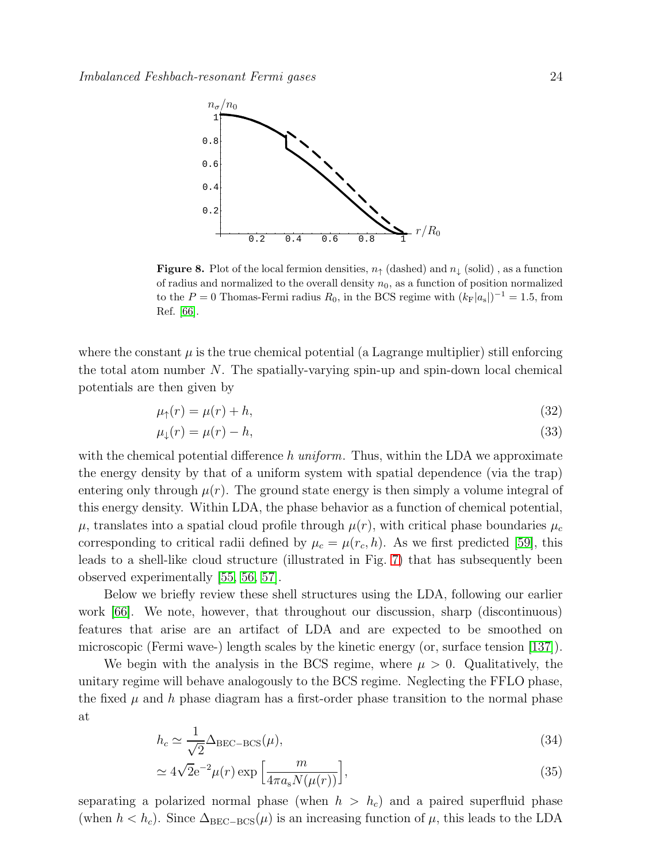

<span id="page-24-0"></span>**Figure 8.** Plot of the local fermion densities,  $n_{\uparrow}$  (dashed) and  $n_{\downarrow}$  (solid), as a function of radius and normalized to the overall density  $n_0$ , as a function of position normalized to the  $P = 0$  Thomas-Fermi radius  $R_0$ , in the BCS regime with  $(k_F|a_s|)^{-1} = 1.5$ , from Ref. [\[66\]](#page-36-4).

where the constant  $\mu$  is the true chemical potential (a Lagrange multiplier) still enforcing the total atom number  $N$ . The spatially-varying spin-up and spin-down local chemical potentials are then given by

$$
\mu_{\uparrow}(r) = \mu(r) + h,\tag{32}
$$

$$
\mu_{\downarrow}(r) = \mu(r) - h,\tag{33}
$$

with the chemical potential difference h *uniform*. Thus, within the LDA we approximate the energy density by that of a uniform system with spatial dependence (via the trap) entering only through  $\mu(r)$ . The ground state energy is then simply a volume integral of this energy density. Within LDA, the phase behavior as a function of chemical potential,  $\mu$ , translates into a spatial cloud profile through  $\mu(r)$ , with critical phase boundaries  $\mu_c$ corresponding to critical radii defined by  $\mu_c = \mu(r_c, h)$ . As we first predicted [\[59\]](#page-35-35), this leads to a shell-like cloud structure (illustrated in Fig. [7\)](#page-23-0) that has subsequently been observed experimentally [\[55,](#page-35-31) [56,](#page-35-32) [57\]](#page-35-33).

Below we briefly review these shell structures using the LDA, following our earlier work [\[66\]](#page-36-4). We note, however, that throughout our discussion, sharp (discontinuous) features that arise are an artifact of LDA and are expected to be smoothed on microscopic (Fermi wave-) length scales by the kinetic energy (or, surface tension [\[137\]](#page-37-33)).

We begin with the analysis in the BCS regime, where  $\mu > 0$ . Qualitatively, the unitary regime will behave analogously to the BCS regime. Neglecting the FFLO phase, the fixed  $\mu$  and h phase diagram has a first-order phase transition to the normal phase at

$$
h_c \simeq \frac{1}{\sqrt{2}} \Delta_{\text{BEC-BCS}}(\mu),\tag{34}
$$

$$
\simeq 4\sqrt{2}e^{-2}\mu(r)\exp\left[\frac{m}{4\pi a_s N(\mu(r))}\right],\tag{35}
$$

separating a polarized normal phase (when  $h > h_c$ ) and a paired superfluid phase (when  $h < h_c$ ). Since  $\Delta_{BEC-BCS}(\mu)$  is an increasing function of  $\mu$ , this leads to the LDA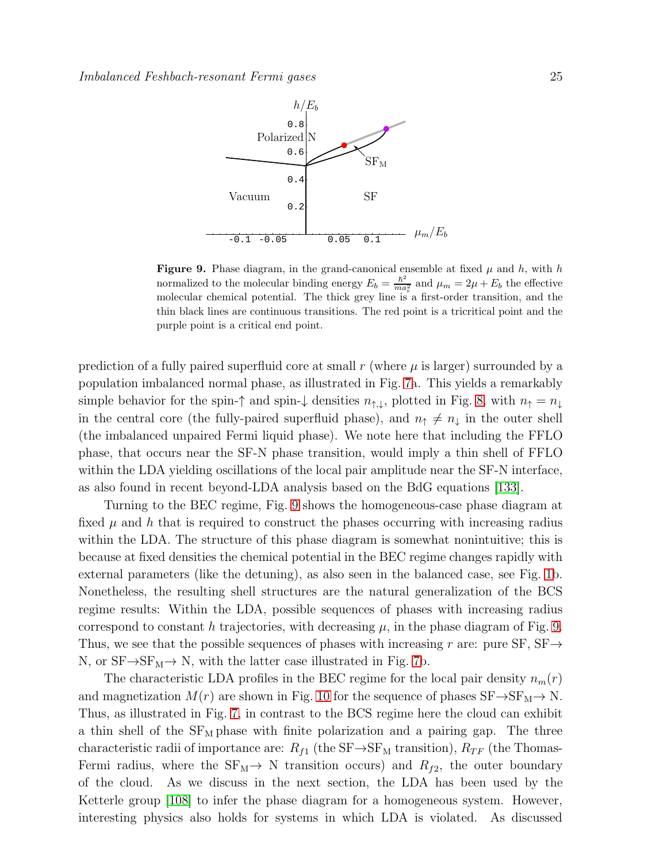

<span id="page-25-0"></span>**Figure 9.** Phase diagram, in the grand-canonical ensemble at fixed  $\mu$  and h, with h normalized to the molecular binding energy  $E_b = \frac{\hbar^2}{ma}$  $\frac{h^2}{ma_s^2}$  and  $\mu_m = 2\mu + E_b$  the effective molecular chemical potential. The thick grey line is a first-order transition, and the thin black lines are continuous transitions. The red point is a tricritical point and the purple point is a critical end point.

prediction of a fully paired superfluid core at small  $r$  (where  $\mu$  is larger) surrounded by a population imbalanced normal phase, as illustrated in Fig. [7a](#page-23-0). This yields a remarkably simple behavior for the spin- $\uparrow$  and spin- $\downarrow$  densities  $n_{\uparrow,\downarrow}$ , plotted in Fig. [8,](#page-24-0) with  $n_{\uparrow} = n_{\downarrow}$ in the central core (the fully-paired superfluid phase), and  $n_{\uparrow} \neq n_{\downarrow}$  in the outer shell (the imbalanced unpaired Fermi liquid phase). We note here that including the FFLO phase, that occurs near the SF-N phase transition, would imply a thin shell of FFLO within the LDA yielding oscillations of the local pair amplitude near the SF-N interface, as also found in recent beyond-LDA analysis based on the BdG equations [\[133\]](#page-37-29).

Turning to the BEC regime, Fig. [9](#page-25-0) shows the homogeneous-case phase diagram at fixed  $\mu$  and h that is required to construct the phases occurring with increasing radius within the LDA. The structure of this phase diagram is somewhat nonintuitive; this is because at fixed densities the chemical potential in the BEC regime changes rapidly with external parameters (like the detuning), as also seen in the balanced case, see Fig. [1b](#page-8-1). Nonetheless, the resulting shell structures are the natural generalization of the BCS regime results: Within the LDA, possible sequences of phases with increasing radius correspond to constant h trajectories, with decreasing  $\mu$ , in the phase diagram of Fig. [9.](#page-25-0) Thus, we see that the possible sequences of phases with increasing r are: pure SF,  $SF\rightarrow$ N, or  $SF \rightarrow SF_M \rightarrow N$ , with the latter case illustrated in Fig. [7b](#page-23-0).

The characteristic LDA profiles in the BEC regime for the local pair density  $n_m(r)$ and magnetization  $M(r)$  are shown in Fig. [10](#page-26-1) for the sequence of phases  $SF \rightarrow SF_M \rightarrow N$ . Thus, as illustrated in Fig. [7,](#page-23-0) in contrast to the BCS regime here the cloud can exhibit a thin shell of the  $SF_{M}$  phase with finite polarization and a pairing gap. The three characteristic radii of importance are:  $R_{f1}$  (the SF $\rightarrow$ SF<sub>M</sub> transition),  $R_{TF}$  (the Thomas-Fermi radius, where the  $SF_M \rightarrow N$  transition occurs) and  $R_{f2}$ , the outer boundary of the cloud. As we discuss in the next section, the LDA has been used by the Ketterle group [\[108\]](#page-37-4) to infer the phase diagram for a homogeneous system. However, interesting physics also holds for systems in which LDA is violated. As discussed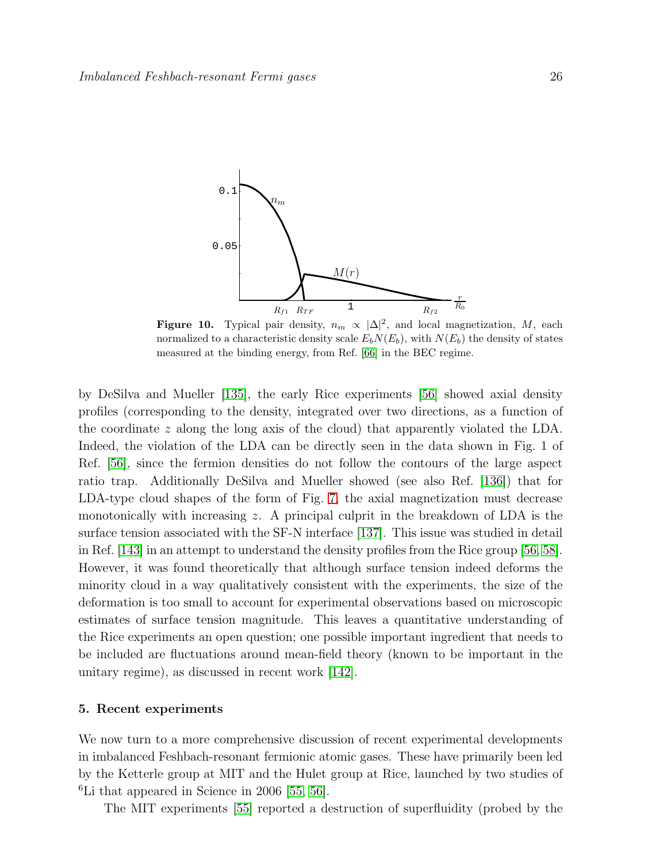

<span id="page-26-1"></span>Figure 10. Typical pair density,  $n_m \propto |\Delta|^2$ , and local magnetization, M, each normalized to a characteristic density scale  $E_bN(E_b)$ , with  $N(E_b)$  the density of states measured at the binding energy, from Ref. [\[66\]](#page-36-4) in the BEC regime.

by DeSilva and Mueller [\[135\]](#page-37-31), the early Rice experiments [\[56\]](#page-35-32) showed axial density profiles (corresponding to the density, integrated over two directions, as a function of the coordinate  $z$  along the long axis of the cloud) that apparently violated the LDA. Indeed, the violation of the LDA can be directly seen in the data shown in Fig. 1 of Ref. [\[56\]](#page-35-32), since the fermion densities do not follow the contours of the large aspect ratio trap. Additionally DeSilva and Mueller showed (see also Ref. [\[136\]](#page-37-32)) that for LDA-type cloud shapes of the form of Fig. [7,](#page-23-0) the axial magnetization must decrease monotonically with increasing  $z$ . A principal culprit in the breakdown of LDA is the surface tension associated with the SF-N interface [\[137\]](#page-37-33). This issue was studied in detail in Ref. [\[143\]](#page-37-39) in an attempt to understand the density profiles from the Rice group [\[56,](#page-35-32) [58\]](#page-35-34). However, it was found theoretically that although surface tension indeed deforms the minority cloud in a way qualitatively consistent with the experiments, the size of the deformation is too small to account for experimental observations based on microscopic estimates of surface tension magnitude. This leaves a quantitative understanding of the Rice experiments an open question; one possible important ingredient that needs to be included are fluctuations around mean-field theory (known to be important in the unitary regime), as discussed in recent work [\[142\]](#page-37-38).

## <span id="page-26-0"></span>5. Recent experiments

We now turn to a more comprehensive discussion of recent experimental developments in imbalanced Feshbach-resonant fermionic atomic gases. These have primarily been led by the Ketterle group at MIT and the Hulet group at Rice, launched by two studies of <sup>6</sup>Li that appeared in Science in 2006 [\[55,](#page-35-31) [56\]](#page-35-32).

The MIT experiments [\[55\]](#page-35-31) reported a destruction of superfluidity (probed by the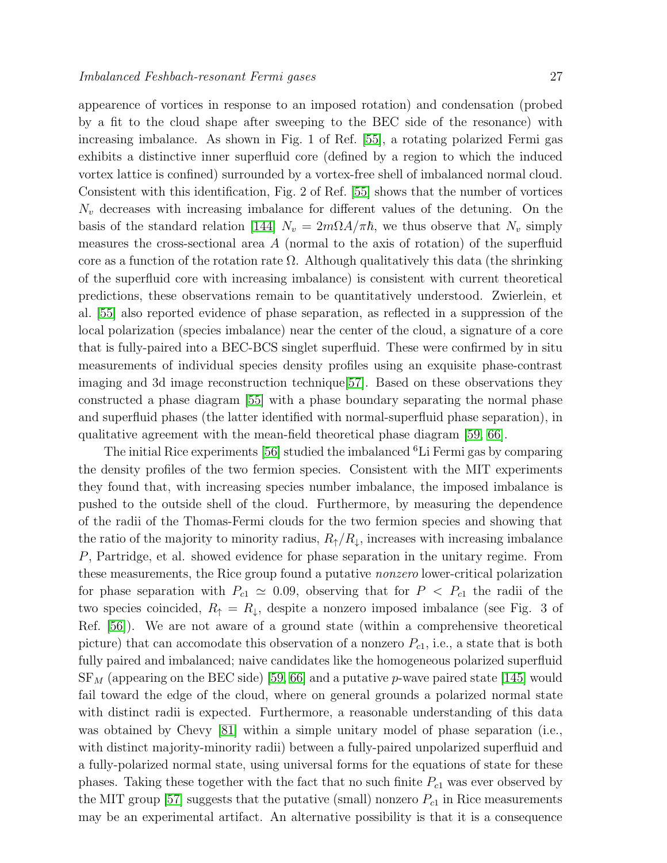appearence of vortices in response to an imposed rotation) and condensation (probed by a fit to the cloud shape after sweeping to the BEC side of the resonance) with increasing imbalance. As shown in Fig. 1 of Ref. [\[55\]](#page-35-31), a rotating polarized Fermi gas exhibits a distinctive inner superfluid core (defined by a region to which the induced vortex lattice is confined) surrounded by a vortex-free shell of imbalanced normal cloud. Consistent with this identification, Fig. 2 of Ref. [\[55\]](#page-35-31) shows that the number of vortices  $N_v$  decreases with increasing imbalance for different values of the detuning. On the basis of the standard relation [\[144\]](#page-37-40)  $N_v = 2m\Omega A/\pi\hbar$ , we thus observe that  $N_v$  simply measures the cross-sectional area A (normal to the axis of rotation) of the superfluid core as a function of the rotation rate  $\Omega$ . Although qualitatively this data (the shrinking of the superfluid core with increasing imbalance) is consistent with current theoretical predictions, these observations remain to be quantitatively understood. Zwierlein, et al. [\[55\]](#page-35-31) also reported evidence of phase separation, as reflected in a suppression of the local polarization (species imbalance) near the center of the cloud, a signature of a core that is fully-paired into a BEC-BCS singlet superfluid. These were confirmed by in situ measurements of individual species density profiles using an exquisite phase-contrast imaging and 3d image reconstruction technique[\[57\]](#page-35-33). Based on these observations they constructed a phase diagram [\[55\]](#page-35-31) with a phase boundary separating the normal phase and superfluid phases (the latter identified with normal-superfluid phase separation), in qualitative agreement with the mean-field theoretical phase diagram [\[59,](#page-35-35) [66\]](#page-36-4).

The initial Rice experiments [\[56\]](#page-35-32) studied the imbalanced <sup>6</sup>Li Fermi gas by comparing the density profiles of the two fermion species. Consistent with the MIT experiments they found that, with increasing species number imbalance, the imposed imbalance is pushed to the outside shell of the cloud. Furthermore, by measuring the dependence of the radii of the Thomas-Fermi clouds for the two fermion species and showing that the ratio of the majority to minority radius,  $R_{\uparrow}/R_{\downarrow}$ , increases with increasing imbalance P, Partridge, et al. showed evidence for phase separation in the unitary regime. From these measurements, the Rice group found a putative *nonzero* lower-critical polarization for phase separation with  $P_{c1} \simeq 0.09$ , observing that for  $P \lt P_{c1}$  the radii of the two species coincided,  $R_{\uparrow} = R_{\downarrow}$ , despite a nonzero imposed imbalance (see Fig. 3 of Ref. [\[56\]](#page-35-32)). We are not aware of a ground state (within a comprehensive theoretical picture) that can accomodate this observation of a nonzero  $P_{c1}$ , i.e., a state that is both fully paired and imbalanced; naive candidates like the homogeneous polarized superfluid  $SF<sub>M</sub>$  (appearing on the BEC side) [\[59,](#page-35-35) [66\]](#page-36-4) and a putative p-wave paired state [\[145\]](#page-37-41) would fail toward the edge of the cloud, where on general grounds a polarized normal state with distinct radii is expected. Furthermore, a reasonable understanding of this data was obtained by Chevy [\[81\]](#page-36-19) within a simple unitary model of phase separation (i.e., with distinct majority-minority radii) between a fully-paired unpolarized superfluid and a fully-polarized normal state, using universal forms for the equations of state for these phases. Taking these together with the fact that no such finite  $P_{c1}$  was ever observed by the MIT group [\[57\]](#page-35-33) suggests that the putative (small) nonzero  $P_{c1}$  in Rice measurements may be an experimental artifact. An alternative possibility is that it is a consequence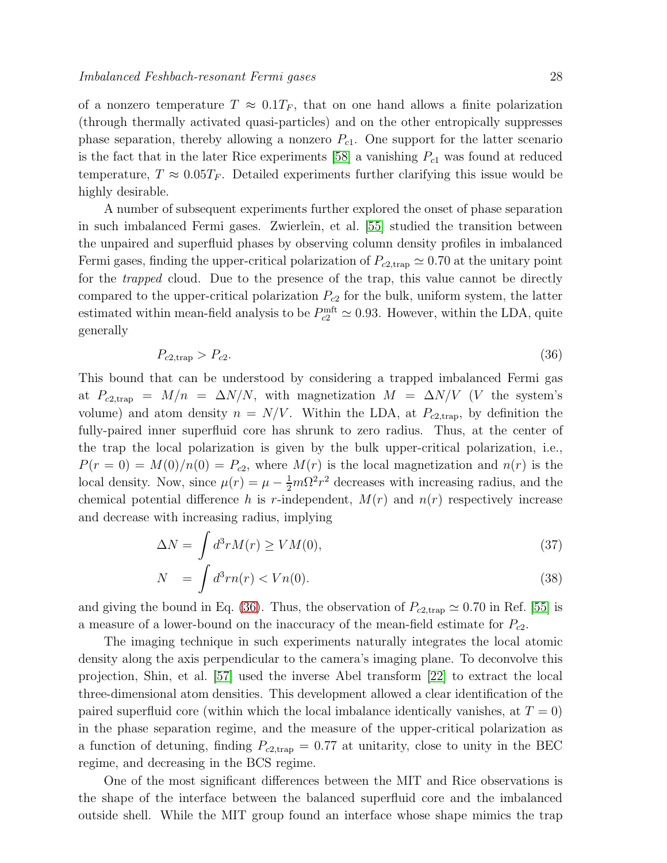of a nonzero temperature  $T \approx 0.1T_F$ , that on one hand allows a finite polarization (through thermally activated quasi-particles) and on the other entropically suppresses phase separation, thereby allowing a nonzero  $P_{c1}$ . One support for the latter scenario is the fact that in the later Rice experiments [\[58\]](#page-35-34) a vanishing  $P_{c1}$  was found at reduced temperature,  $T \approx 0.05T_F$ . Detailed experiments further clarifying this issue would be highly desirable.

A number of subsequent experiments further explored the onset of phase separation in such imbalanced Fermi gases. Zwierlein, et al. [\[55\]](#page-35-31) studied the transition between the unpaired and superfluid phases by observing column density profiles in imbalanced Fermi gases, finding the upper-critical polarization of  $P_{c2,trap} \simeq 0.70$  at the unitary point for the *trapped* cloud. Due to the presence of the trap, this value cannot be directly compared to the upper-critical polarization  $P_{c2}$  for the bulk, uniform system, the latter estimated within mean-field analysis to be  $P_{c2}^{\text{mft}} \simeq 0.93$ . However, within the LDA, quite generally

<span id="page-28-0"></span>
$$
P_{c2,\text{trap}} > P_{c2}.\tag{36}
$$

This bound that can be understood by considering a trapped imbalanced Fermi gas at  $P_{c2,trap} = M/n = \Delta N/N$ , with magnetization  $M = \Delta N/V$  (V the system's volume) and atom density  $n = N/V$ . Within the LDA, at  $P_{c2,trap}$ , by definition the fully-paired inner superfluid core has shrunk to zero radius. Thus, at the center of the trap the local polarization is given by the bulk upper-critical polarization, i.e.,  $P(r = 0) = M(0)/n(0) = P_{c2}$ , where  $M(r)$  is the local magnetization and  $n(r)$  is the local density. Now, since  $\mu(r) = \mu - \frac{1}{2}m\Omega^2 r^2$  decreases with increasing radius, and the chemical potential difference h is r-independent,  $M(r)$  and  $n(r)$  respectively increase and decrease with increasing radius, implying

$$
\Delta N = \int d^3 r M(r) \ge VM(0),\tag{37}
$$

$$
N = \int d^3r n(r) < V n(0). \tag{38}
$$

and giving the bound in Eq. [\(36\)](#page-28-0). Thus, the observation of  $P_{c2,\text{trap}} \simeq 0.70$  in Ref. [\[55\]](#page-35-31) is a measure of a lower-bound on the inaccuracy of the mean-field estimate for  $P_{c2}$ .

The imaging technique in such experiments naturally integrates the local atomic density along the axis perpendicular to the camera's imaging plane. To deconvolve this projection, Shin, et al. [\[57\]](#page-35-33) used the inverse Abel transform [\[22\]](#page-34-21) to extract the local three-dimensional atom densities. This development allowed a clear identification of the paired superfluid core (within which the local imbalance identically vanishes, at  $T = 0$ ) in the phase separation regime, and the measure of the upper-critical polarization as a function of detuning, finding  $P_{c2,\text{trap}} = 0.77$  at unitarity, close to unity in the BEC regime, and decreasing in the BCS regime.

One of the most significant differences between the MIT and Rice observations is the shape of the interface between the balanced superfluid core and the imbalanced outside shell. While the MIT group found an interface whose shape mimics the trap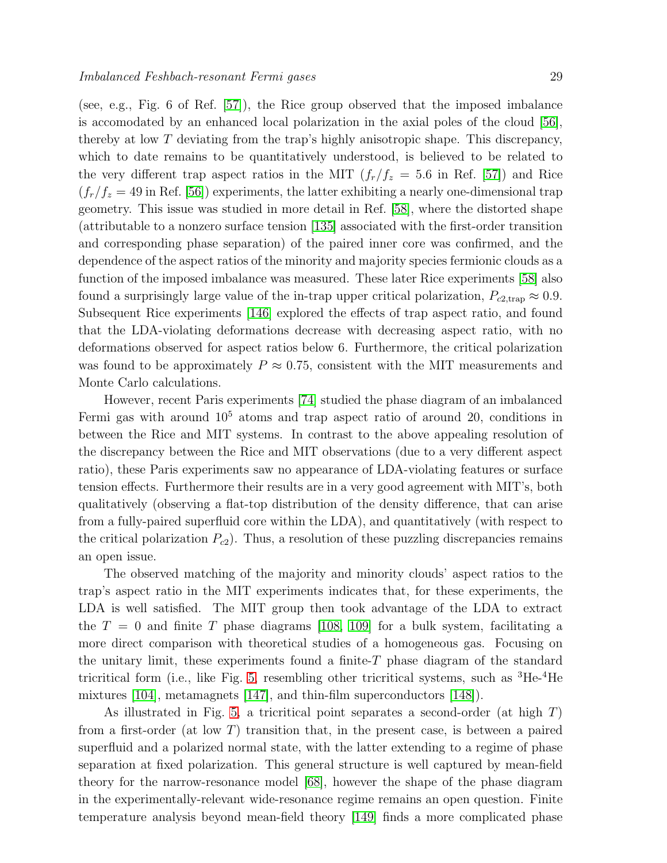(see, e.g., Fig. 6 of Ref. [\[57\]](#page-35-33)), the Rice group observed that the imposed imbalance is accomodated by an enhanced local polarization in the axial poles of the cloud [\[56\]](#page-35-32), thereby at low T deviating from the trap's highly anisotropic shape. This discrepancy, which to date remains to be quantitatively understood, is believed to be related to the very different trap aspect ratios in the MIT  $(f_r/f_z = 5.6$  in Ref. [\[57\]](#page-35-33)) and Rice  $(f_r/f_z = 49$  in Ref. [\[56\]](#page-35-32)) experiments, the latter exhibiting a nearly one-dimensional trap geometry. This issue was studied in more detail in Ref. [\[58\]](#page-35-34), where the distorted shape (attributable to a nonzero surface tension [\[135\]](#page-37-31) associated with the first-order transition and corresponding phase separation) of the paired inner core was confirmed, and the dependence of the aspect ratios of the minority and majority species fermionic clouds as a function of the imposed imbalance was measured. These later Rice experiments [\[58\]](#page-35-34) also found a surprisingly large value of the in-trap upper critical polarization,  $P_{c2,\text{trap}} \approx 0.9$ . Subsequent Rice experiments [\[146\]](#page-37-42) explored the effects of trap aspect ratio, and found that the LDA-violating deformations decrease with decreasing aspect ratio, with no deformations observed for aspect ratios below 6. Furthermore, the critical polarization was found to be approximately  $P \approx 0.75$ , consistent with the MIT measurements and Monte Carlo calculations.

However, recent Paris experiments [\[74\]](#page-36-12) studied the phase diagram of an imbalanced Fermi gas with around  $10^5$  atoms and trap aspect ratio of around 20, conditions in between the Rice and MIT systems. In contrast to the above appealing resolution of the discrepancy between the Rice and MIT observations (due to a very different aspect ratio), these Paris experiments saw no appearance of LDA-violating features or surface tension effects. Furthermore their results are in a very good agreement with MIT's, both qualitatively (observing a flat-top distribution of the density difference, that can arise from a fully-paired superfluid core within the LDA), and quantitatively (with respect to the critical polarization  $P_{c2}$ ). Thus, a resolution of these puzzling discrepancies remains an open issue.

The observed matching of the majority and minority clouds' aspect ratios to the trap's aspect ratio in the MIT experiments indicates that, for these experiments, the LDA is well satisfied. The MIT group then took advantage of the LDA to extract the  $T = 0$  and finite T phase diagrams [\[108,](#page-37-4) [109\]](#page-37-5) for a bulk system, facilitating a more direct comparison with theoretical studies of a homogeneous gas. Focusing on the unitary limit, these experiments found a finite- $T$  phase diagram of the standard tricritical form (i.e., like Fig. [5,](#page-17-0) resembling other tricritical systems, such as <sup>3</sup>He-<sup>4</sup>He mixtures [\[104\]](#page-37-0), metamagnets [\[147\]](#page-37-43), and thin-film superconductors [\[148\]](#page-37-44)).

As illustrated in Fig. [5,](#page-17-0) a tricritical point separates a second-order (at high T) from a first-order (at low  $T$ ) transition that, in the present case, is between a paired superfluid and a polarized normal state, with the latter extending to a regime of phase separation at fixed polarization. This general structure is well captured by mean-field theory for the narrow-resonance model [\[68\]](#page-36-6), however the shape of the phase diagram in the experimentally-relevant wide-resonance regime remains an open question. Finite temperature analysis beyond mean-field theory [\[149\]](#page-37-45) finds a more complicated phase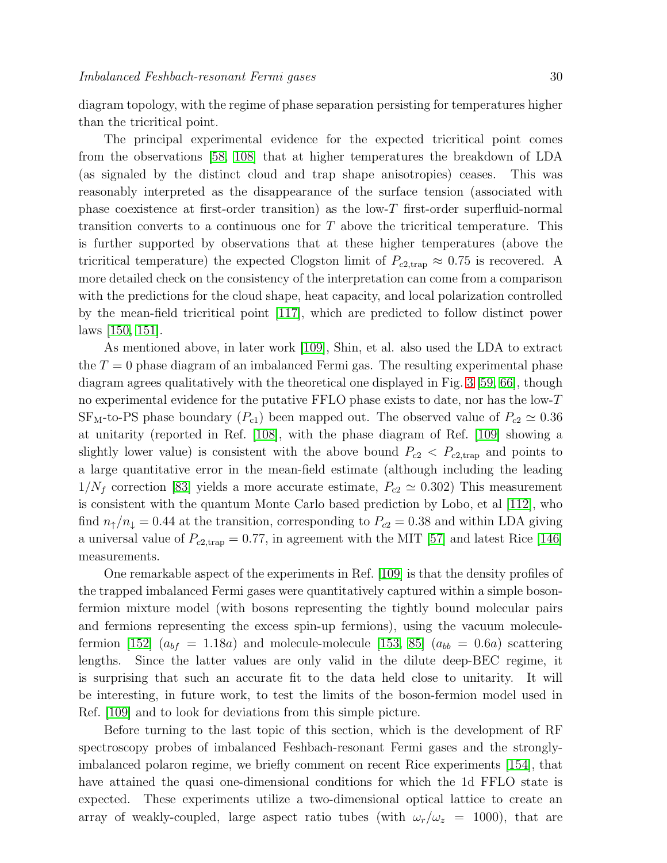diagram topology, with the regime of phase separation persisting for temperatures higher than the tricritical point.

The principal experimental evidence for the expected tricritical point comes from the observations [\[58,](#page-35-34) [108\]](#page-37-4) that at higher temperatures the breakdown of LDA (as signaled by the distinct cloud and trap shape anisotropies) ceases. This was reasonably interpreted as the disappearance of the surface tension (associated with phase coexistence at first-order transition) as the low-T first-order superfluid-normal transition converts to a continuous one for T above the tricritical temperature. This is further supported by observations that at these higher temperatures (above the tricritical temperature) the expected Clogston limit of  $P_{c2,\text{trap}} \approx 0.75$  is recovered. A more detailed check on the consistency of the interpretation can come from a comparison with the predictions for the cloud shape, heat capacity, and local polarization controlled by the mean-field tricritical point [\[117\]](#page-37-13), which are predicted to follow distinct power laws [\[150,](#page-37-46) [151\]](#page-37-47).

As mentioned above, in later work [\[109\]](#page-37-5), Shin, et al. also used the LDA to extract the  $T = 0$  phase diagram of an imbalanced Fermi gas. The resulting experimental phase diagram agrees qualitatively with the theoretical one displayed in Fig. [3](#page-13-0) [\[59,](#page-35-35) [66\]](#page-36-4), though no experimental evidence for the putative FFLO phase exists to date, nor has the low-T  $SF_{M}$ -to-PS phase boundary  $(P_{c1})$  been mapped out. The observed value of  $P_{c2} \simeq 0.36$ at unitarity (reported in Ref. [\[108\]](#page-37-4), with the phase diagram of Ref. [\[109\]](#page-37-5) showing a slightly lower value) is consistent with the above bound  $P_{c2} < P_{c2,\text{trap}}$  and points to a large quantitative error in the mean-field estimate (although including the leading  $1/N_f$  correction [\[83\]](#page-36-21) yields a more accurate estimate,  $P_{c2} \simeq 0.302$ ) This measurement is consistent with the quantum Monte Carlo based prediction by Lobo, et al [\[112\]](#page-37-8), who find  $n_{\uparrow}/n_{\downarrow} = 0.44$  at the transition, corresponding to  $P_{c2} = 0.38$  and within LDA giving a universal value of  $P_{c2,\text{trap}} = 0.77$ , in agreement with the MIT [\[57\]](#page-35-33) and latest Rice [\[146\]](#page-37-42) measurements.

One remarkable aspect of the experiments in Ref. [\[109\]](#page-37-5) is that the density profiles of the trapped imbalanced Fermi gases were quantitatively captured within a simple bosonfermion mixture model (with bosons representing the tightly bound molecular pairs and fermions representing the excess spin-up fermions), using the vacuum molecule-fermion [\[152\]](#page-38-0)  $(a_{bf} = 1.18a)$  and molecule-molecule [\[153,](#page-38-1) [85\]](#page-36-23)  $(a_{bb} = 0.6a)$  scattering lengths. Since the latter values are only valid in the dilute deep-BEC regime, it is surprising that such an accurate fit to the data held close to unitarity. It will be interesting, in future work, to test the limits of the boson-fermion model used in Ref. [\[109\]](#page-37-5) and to look for deviations from this simple picture.

Before turning to the last topic of this section, which is the development of RF spectroscopy probes of imbalanced Feshbach-resonant Fermi gases and the stronglyimbalanced polaron regime, we briefly comment on recent Rice experiments [\[154\]](#page-38-2), that have attained the quasi one-dimensional conditions for which the 1d FFLO state is expected. These experiments utilize a two-dimensional optical lattice to create an array of weakly-coupled, large aspect ratio tubes (with  $\omega_r/\omega_z = 1000$ ), that are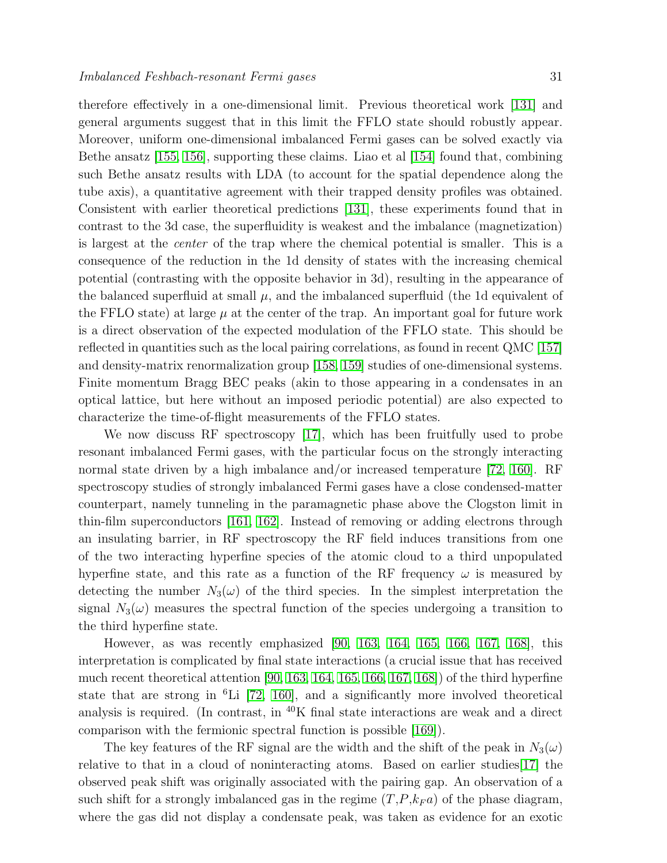therefore effectively in a one-dimensional limit. Previous theoretical work [\[131\]](#page-37-27) and general arguments suggest that in this limit the FFLO state should robustly appear. Moreover, uniform one-dimensional imbalanced Fermi gases can be solved exactly via Bethe ansatz [\[155,](#page-38-3) [156\]](#page-38-4), supporting these claims. Liao et al [\[154\]](#page-38-2) found that, combining such Bethe ansatz results with LDA (to account for the spatial dependence along the tube axis), a quantitative agreement with their trapped density profiles was obtained. Consistent with earlier theoretical predictions [\[131\]](#page-37-27), these experiments found that in contrast to the 3d case, the superfluidity is weakest and the imbalance (magnetization) is largest at the *center* of the trap where the chemical potential is smaller. This is a consequence of the reduction in the 1d density of states with the increasing chemical potential (contrasting with the opposite behavior in 3d), resulting in the appearance of the balanced superfluid at small  $\mu$ , and the imbalanced superfluid (the 1d equivalent of the FFLO state) at large  $\mu$  at the center of the trap. An important goal for future work is a direct observation of the expected modulation of the FFLO state. This should be reflected in quantities such as the local pairing correlations, as found in recent QMC [\[157\]](#page-38-5) and density-matrix renormalization group [\[158,](#page-38-6) [159\]](#page-38-7) studies of one-dimensional systems. Finite momentum Bragg BEC peaks (akin to those appearing in a condensates in an optical lattice, but here without an imposed periodic potential) are also expected to characterize the time-of-flight measurements of the FFLO states.

We now discuss RF spectroscopy [\[17\]](#page-34-16), which has been fruitfully used to probe resonant imbalanced Fermi gases, with the particular focus on the strongly interacting normal state driven by a high imbalance and/or increased temperature [\[72,](#page-36-10) [160\]](#page-38-8). RF spectroscopy studies of strongly imbalanced Fermi gases have a close condensed-matter counterpart, namely tunneling in the paramagnetic phase above the Clogston limit in thin-film superconductors [\[161,](#page-38-9) [162\]](#page-38-10). Instead of removing or adding electrons through an insulating barrier, in RF spectroscopy the RF field induces transitions from one of the two interacting hyperfine species of the atomic cloud to a third unpopulated hyperfine state, and this rate as a function of the RF frequency  $\omega$  is measured by detecting the number  $N_3(\omega)$  of the third species. In the simplest interpretation the signal  $N_3(\omega)$  measures the spectral function of the species undergoing a transition to the third hyperfine state.

However, as was recently emphasized [\[90,](#page-36-28) [163,](#page-38-11) [164,](#page-38-12) [165,](#page-38-13) [166,](#page-38-14) [167,](#page-38-15) [168\]](#page-38-16), this interpretation is complicated by final state interactions (a crucial issue that has received much recent theoretical attention  $[90, 163, 164, 165, 166, 167, 168]$  $[90, 163, 164, 165, 166, 167, 168]$  $[90, 163, 164, 165, 166, 167, 168]$  $[90, 163, 164, 165, 166, 167, 168]$  $[90, 163, 164, 165, 166, 167, 168]$  $[90, 163, 164, 165, 166, 167, 168]$  $[90, 163, 164, 165, 166, 167, 168]$  of the third hyperfine state that are strong in  ${}^{6}$ Li [\[72,](#page-36-10) [160\]](#page-38-8), and a significantly more involved theoretical analysis is required. (In contrast, in <sup>40</sup>K final state interactions are weak and a direct comparison with the fermionic spectral function is possible [\[169\]](#page-38-17)).

The key features of the RF signal are the width and the shift of the peak in  $N_3(\omega)$ relative to that in a cloud of noninteracting atoms. Based on earlier studies  $[17]$  the observed peak shift was originally associated with the pairing gap. An observation of a such shift for a strongly imbalanced gas in the regime  $(T, P, k_F a)$  of the phase diagram, where the gas did not display a condensate peak, was taken as evidence for an exotic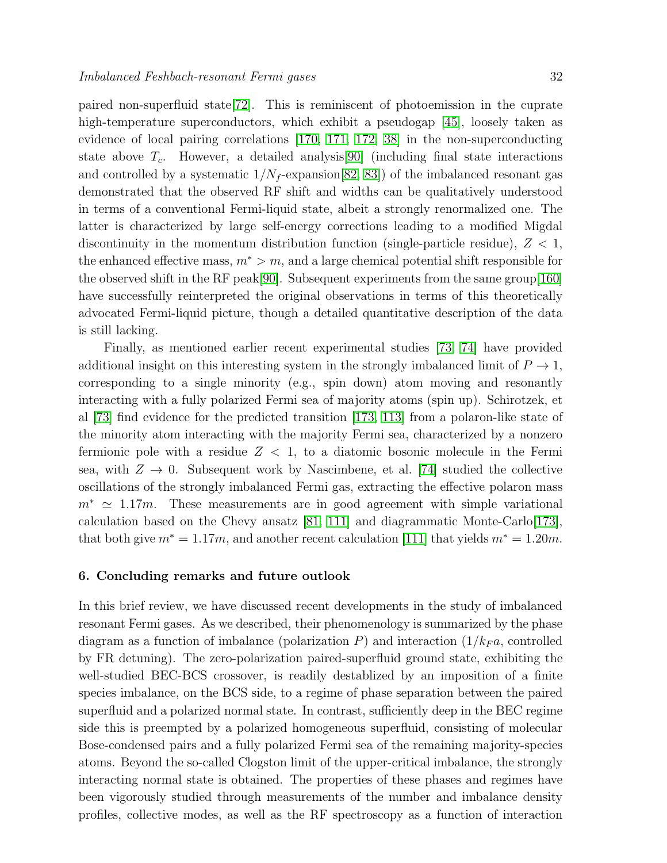paired non-superfluid state[\[72\]](#page-36-10). This is reminiscent of photoemission in the cuprate high-temperature superconductors, which exhibit a pseudogap [\[45\]](#page-35-21), loosely taken as evidence of local pairing correlations [\[170,](#page-38-18) [171,](#page-38-19) [172,](#page-38-20) [38\]](#page-35-14) in the non-superconducting state above  $T_c$ . However, a detailed analysis<sup>[\[90\]](#page-36-28)</sup> (including final state interactions and controlled by a systematic  $1/N_f$ -expansion[\[82,](#page-36-20) [83\]](#page-36-21)) of the imbalanced resonant gas demonstrated that the observed RF shift and widths can be qualitatively understood in terms of a conventional Fermi-liquid state, albeit a strongly renormalized one. The latter is characterized by large self-energy corrections leading to a modified Migdal discontinuity in the momentum distribution function (single-particle residue),  $Z < 1$ , the enhanced effective mass,  $m^* > m$ , and a large chemical potential shift responsible for the observed shift in the RF peak[\[90\]](#page-36-28). Subsequent experiments from the same group[\[160\]](#page-38-8) have successfully reinterpreted the original observations in terms of this theoretically advocated Fermi-liquid picture, though a detailed quantitative description of the data is still lacking.

Finally, as mentioned earlier recent experimental studies [\[73,](#page-36-11) [74\]](#page-36-12) have provided additional insight on this interesting system in the strongly imbalanced limit of  $P \to 1$ , corresponding to a single minority (e.g., spin down) atom moving and resonantly interacting with a fully polarized Fermi sea of majority atoms (spin up). Schirotzek, et al [\[73\]](#page-36-11) find evidence for the predicted transition [\[173,](#page-38-21) [113\]](#page-37-9) from a polaron-like state of the minority atom interacting with the majority Fermi sea, characterized by a nonzero fermionic pole with a residue  $Z < 1$ , to a diatomic bosonic molecule in the Fermi sea, with  $Z \to 0$ . Subsequent work by Nascimbene, et al. [\[74\]](#page-36-12) studied the collective oscillations of the strongly imbalanced Fermi gas, extracting the effective polaron mass  $m^* \simeq 1.17m$ . These measurements are in good agreement with simple variational calculation based on the Chevy ansatz [\[81,](#page-36-19) [111\]](#page-37-7) and diagrammatic Monte-Carlo[\[173\]](#page-38-21), that both give  $m^* = 1.17m$ , and another recent calculation [\[111\]](#page-37-7) that yields  $m^* = 1.20m$ .

## <span id="page-32-0"></span>6. Concluding remarks and future outlook

In this brief review, we have discussed recent developments in the study of imbalanced resonant Fermi gases. As we described, their phenomenology is summarized by the phase diagram as a function of imbalance (polarization  $P$ ) and interaction  $(1/k_F a,$  controlled by FR detuning). The zero-polarization paired-superfluid ground state, exhibiting the well-studied BEC-BCS crossover, is readily destablized by an imposition of a finite species imbalance, on the BCS side, to a regime of phase separation between the paired superfluid and a polarized normal state. In contrast, sufficiently deep in the BEC regime side this is preempted by a polarized homogeneous superfluid, consisting of molecular Bose-condensed pairs and a fully polarized Fermi sea of the remaining majority-species atoms. Beyond the so-called Clogston limit of the upper-critical imbalance, the strongly interacting normal state is obtained. The properties of these phases and regimes have been vigorously studied through measurements of the number and imbalance density profiles, collective modes, as well as the RF spectroscopy as a function of interaction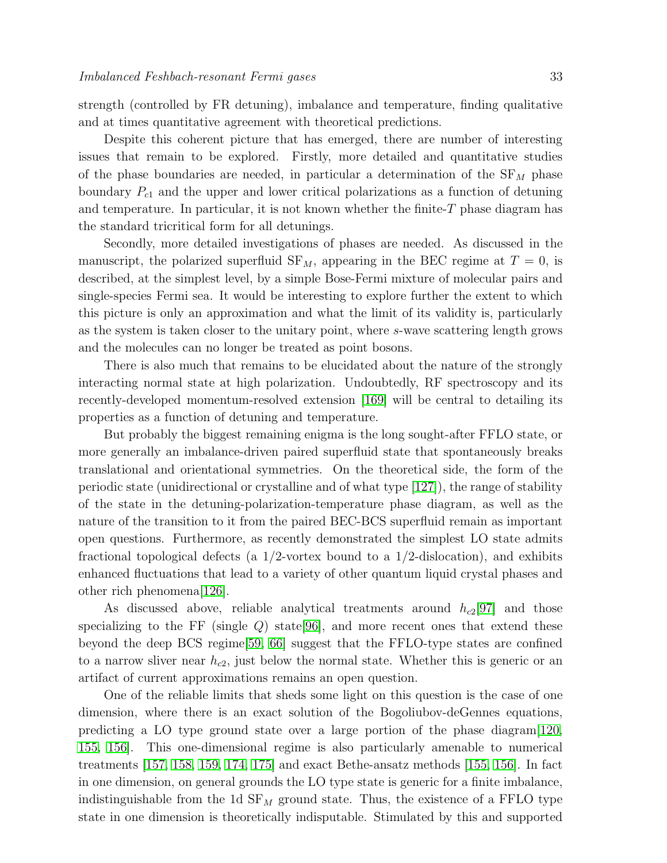strength (controlled by FR detuning), imbalance and temperature, finding qualitative and at times quantitative agreement with theoretical predictions.

Despite this coherent picture that has emerged, there are number of interesting issues that remain to be explored. Firstly, more detailed and quantitative studies of the phase boundaries are needed, in particular a determination of the  $SF_M$  phase boundary  $P_{c1}$  and the upper and lower critical polarizations as a function of detuning and temperature. In particular, it is not known whether the finite- $T$  phase diagram has the standard tricritical form for all detunings.

Secondly, more detailed investigations of phases are needed. As discussed in the manuscript, the polarized superfluid  $SF_M$ , appearing in the BEC regime at  $T = 0$ , is described, at the simplest level, by a simple Bose-Fermi mixture of molecular pairs and single-species Fermi sea. It would be interesting to explore further the extent to which this picture is only an approximation and what the limit of its validity is, particularly as the system is taken closer to the unitary point, where s-wave scattering length grows and the molecules can no longer be treated as point bosons.

There is also much that remains to be elucidated about the nature of the strongly interacting normal state at high polarization. Undoubtedly, RF spectroscopy and its recently-developed momentum-resolved extension [\[169\]](#page-38-17) will be central to detailing its properties as a function of detuning and temperature.

But probably the biggest remaining enigma is the long sought-after FFLO state, or more generally an imbalance-driven paired superfluid state that spontaneously breaks translational and orientational symmetries. On the theoretical side, the form of the periodic state (unidirectional or crystalline and of what type [\[127\]](#page-37-23)), the range of stability of the state in the detuning-polarization-temperature phase diagram, as well as the nature of the transition to it from the paired BEC-BCS superfluid remain as important open questions. Furthermore, as recently demonstrated the simplest LO state admits fractional topological defects (a  $1/2$ -vortex bound to a  $1/2$ -dislocation), and exhibits enhanced fluctuations that lead to a variety of other quantum liquid crystal phases and other rich phenomena[\[126\]](#page-37-14).

As discussed above, reliable analytical treatments around  $h_{c2}[97]$  $h_{c2}[97]$  and those specializing to the FF (single  $Q$ ) state [\[96\]](#page-36-34), and more recent ones that extend these beyond the deep BCS regime[\[59,](#page-35-35) [66\]](#page-36-4) suggest that the FFLO-type states are confined to a narrow sliver near  $h_{c2}$ , just below the normal state. Whether this is generic or an artifact of current approximations remains an open question.

One of the reliable limits that sheds some light on this question is the case of one dimension, where there is an exact solution of the Bogoliubov-deGennes equations, predicting a LO type ground state over a large portion of the phase diagram[\[120,](#page-37-17) [155,](#page-38-3) [156\]](#page-38-4). This one-dimensional regime is also particularly amenable to numerical treatments [\[157,](#page-38-5) [158,](#page-38-6) [159,](#page-38-7) [174,](#page-38-22) [175\]](#page-38-23) and exact Bethe-ansatz methods [\[155,](#page-38-3) [156\]](#page-38-4). In fact in one dimension, on general grounds the LO type state is generic for a finite imbalance, indistinguishable from the 1d  $SF_M$  ground state. Thus, the existence of a FFLO type state in one dimension is theoretically indisputable. Stimulated by this and supported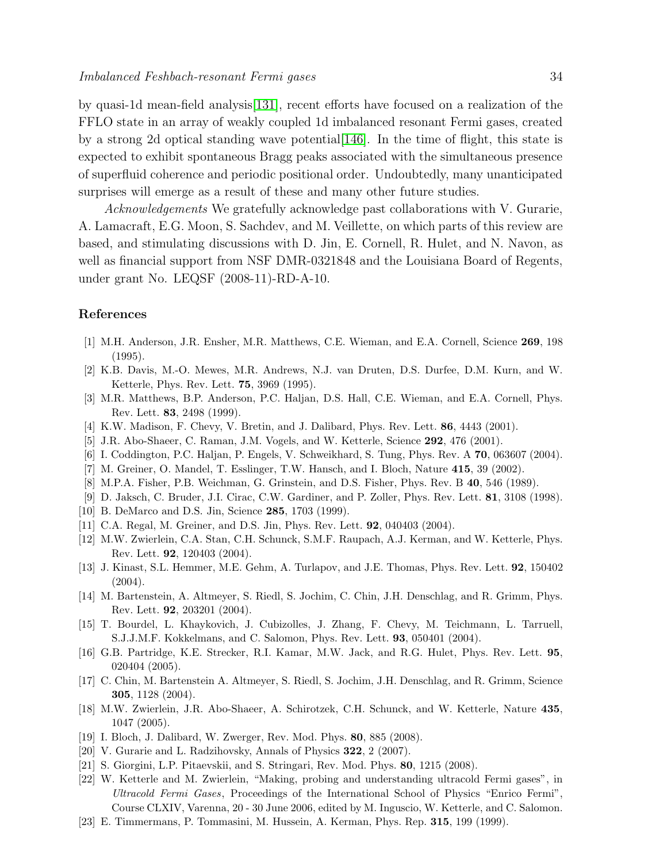by quasi-1d mean-field analysis[\[131\]](#page-37-27), recent efforts have focused on a realization of the FFLO state in an array of weakly coupled 1d imbalanced resonant Fermi gases, created by a strong 2d optical standing wave potential  $[146]$ . In the time of flight, this state is expected to exhibit spontaneous Bragg peaks associated with the simultaneous presence of superfluid coherence and periodic positional order. Undoubtedly, many unanticipated surprises will emerge as a result of these and many other future studies.

*Acknowledgements* We gratefully acknowledge past collaborations with V. Gurarie, A. Lamacraft, E.G. Moon, S. Sachdev, and M. Veillette, on which parts of this review are based, and stimulating discussions with D. Jin, E. Cornell, R. Hulet, and N. Navon, as well as financial support from NSF DMR-0321848 and the Louisiana Board of Regents, under grant No. LEQSF (2008-11)-RD-A-10.

## <span id="page-34-0"></span>References

- <span id="page-34-1"></span>[1] M.H. Anderson, J.R. Ensher, M.R. Matthews, C.E. Wieman, and E.A. Cornell, Science 269, 198 (1995).
- [2] K.B. Davis, M.-O. Mewes, M.R. Andrews, N.J. van Druten, D.S. Durfee, D.M. Kurn, and W. Ketterle, Phys. Rev. Lett. 75, 3969 (1995).
- <span id="page-34-2"></span>[3] M.R. Matthews, B.P. Anderson, P.C. Haljan, D.S. Hall, C.E. Wieman, and E.A. Cornell, Phys. Rev. Lett. 83, 2498 (1999).
- <span id="page-34-4"></span><span id="page-34-3"></span>[4] K.W. Madison, F. Chevy, V. Bretin, and J. Dalibard, Phys. Rev. Lett. 86, 4443 (2001).
- <span id="page-34-5"></span>[5] J.R. Abo-Shaeer, C. Raman, J.M. Vogels, and W. Ketterle, Science 292, 476 (2001).
- <span id="page-34-6"></span>[6] I. Coddington, P.C. Haljan, P. Engels, V. Schweikhard, S. Tung, Phys. Rev. A 70, 063607 (2004).
- <span id="page-34-7"></span>[7] M. Greiner, O. Mandel, T. Esslinger, T.W. Hansch, and I. Bloch, Nature 415, 39 (2002).
- <span id="page-34-8"></span>[8] M.P.A. Fisher, P.B. Weichman, G. Grinstein, and D.S. Fisher, Phys. Rev. B 40, 546 (1989).
- <span id="page-34-9"></span>[9] D. Jaksch, C. Bruder, J.I. Cirac, C.W. Gardiner, and P. Zoller, Phys. Rev. Lett. 81, 3108 (1998).
- <span id="page-34-10"></span>[10] B. DeMarco and D.S. Jin, Science 285, 1703 (1999).
- <span id="page-34-11"></span>[11] C.A. Regal, M. Greiner, and D.S. Jin, Phys. Rev. Lett. **92**, 040403 (2004).
- [12] M.W. Zwierlein, C.A. Stan, C.H. Schunck, S.M.F. Raupach, A.J. Kerman, and W. Ketterle, Phys. Rev. Lett. 92, 120403 (2004).
- <span id="page-34-12"></span>[13] J. Kinast, S.L. Hemmer, M.E. Gehm, A. Turlapov, and J.E. Thomas, Phys. Rev. Lett. 92, 150402 (2004).
- <span id="page-34-13"></span>[14] M. Bartenstein, A. Altmeyer, S. Riedl, S. Jochim, C. Chin, J.H. Denschlag, and R. Grimm, Phys. Rev. Lett. 92, 203201 (2004).
- <span id="page-34-14"></span>[15] T. Bourdel, L. Khaykovich, J. Cubizolles, J. Zhang, F. Chevy, M. Teichmann, L. Tarruell, S.J.J.M.F. Kokkelmans, and C. Salomon, Phys. Rev. Lett. 93, 050401 (2004).
- <span id="page-34-16"></span><span id="page-34-15"></span>[16] G.B. Partridge, K.E. Strecker, R.I. Kamar, M.W. Jack, and R.G. Hulet, Phys. Rev. Lett. 95, 020404 (2005).
- <span id="page-34-17"></span>[17] C. Chin, M. Bartenstein A. Altmeyer, S. Riedl, S. Jochim, J.H. Denschlag, and R. Grimm, Science 305, 1128 (2004).
- [18] M.W. Zwierlein, J.R. Abo-Shaeer, A. Schirotzek, C.H. Schunck, and W. Ketterle, Nature 435, 1047 (2005).
- <span id="page-34-19"></span><span id="page-34-18"></span>[19] I. Bloch, J. Dalibard, W. Zwerger, Rev. Mod. Phys. 80, 885 (2008).
- <span id="page-34-20"></span>[20] V. Gurarie and L. Radzihovsky, Annals of Physics 322, 2 (2007).
- <span id="page-34-21"></span>[21] S. Giorgini, L.P. Pitaevskii, and S. Stringari, Rev. Mod. Phys. 80, 1215 (2008).
- [22] W. Ketterle and M. Zwierlein, "Making, probing and understanding ultracold Fermi gases", in Ultracold Fermi Gases, Proceedings of the International School of Physics "Enrico Fermi", Course CLXIV, Varenna, 20 - 30 June 2006, edited by M. Inguscio, W. Ketterle, and C. Salomon.
- <span id="page-34-22"></span>[23] E. Timmermans, P. Tommasini, M. Hussein, A. Kerman, Phys. Rep. 315, 199 (1999).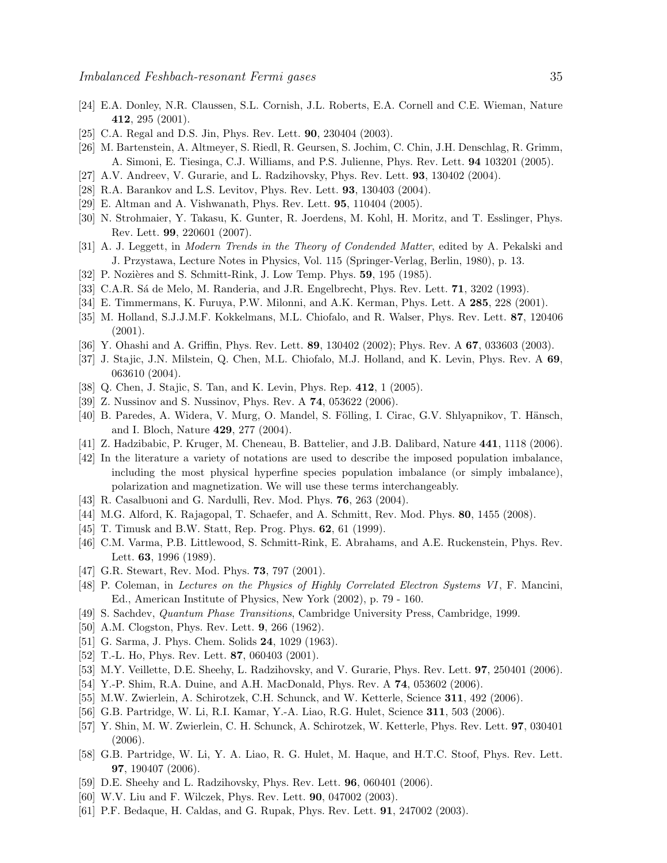- <span id="page-35-1"></span><span id="page-35-0"></span>[24] E.A. Donley, N.R. Claussen, S.L. Cornish, J.L. Roberts, E.A. Cornell and C.E. Wieman, Nature 412, 295 (2001).
- <span id="page-35-2"></span>[25] C.A. Regal and D.S. Jin, Phys. Rev. Lett. **90**, 230404 (2003).
- <span id="page-35-3"></span>[26] M. Bartenstein, A. Altmeyer, S. Riedl, R. Geursen, S. Jochim, C. Chin, J.H. Denschlag, R. Grimm, A. Simoni, E. Tiesinga, C.J. Williams, and P.S. Julienne, Phys. Rev. Lett. 94 103201 (2005).
- <span id="page-35-4"></span>[27] A.V. Andreev, V. Gurarie, and L. Radzihovsky, Phys. Rev. Lett. 93, 130402 (2004).
- <span id="page-35-5"></span>[28] R.A. Barankov and L.S. Levitov, Phys. Rev. Lett. 93, 130403 (2004).
- <span id="page-35-6"></span>[29] E. Altman and A. Vishwanath, Phys. Rev. Lett. 95, 110404 (2005).
- <span id="page-35-7"></span>[30] N. Strohmaier, Y. Takasu, K. Gunter, R. Joerdens, M. Kohl, H. Moritz, and T. Esslinger, Phys. Rev. Lett. 99, 220601 (2007).
- <span id="page-35-8"></span>[31] A. J. Leggett, in Modern Trends in the Theory of Condended Matter, edited by A. Pekalski and J. Przystawa, Lecture Notes in Physics, Vol. 115 (Springer-Verlag, Berlin, 1980), p. 13.
- <span id="page-35-9"></span>[32] P. Nozières and S. Schmitt-Rink, J. Low Temp. Phys. **59**, 195 (1985).
- <span id="page-35-10"></span>[33] C.A.R. Sá de Melo, M. Randeria, and J.R. Engelbrecht, Phys. Rev. Lett. **71**, 3202 (1993).
- <span id="page-35-11"></span>[34] E. Timmermans, K. Furuya, P.W. Milonni, and A.K. Kerman, Phys. Lett. A 285, 228 (2001).
- <span id="page-35-12"></span>[35] M. Holland, S.J.J.M.F. Kokkelmans, M.L. Chiofalo, and R. Walser, Phys. Rev. Lett. 87, 120406 (2001).
- <span id="page-35-13"></span>[36] Y. Ohashi and A. Griffin, Phys. Rev. Lett. 89, 130402 (2002); Phys. Rev. A 67, 033603 (2003).
- [37] J. Stajic, J.N. Milstein, Q. Chen, M.L. Chiofalo, M.J. Holland, and K. Levin, Phys. Rev. A 69, 063610 (2004).
- <span id="page-35-15"></span><span id="page-35-14"></span>[38] Q. Chen, J. Stajic, S. Tan, and K. Levin, Phys. Rep. 412, 1 (2005).
- <span id="page-35-16"></span>[39] Z. Nussinov and S. Nussinov, Phys. Rev. A 74, 053622 (2006).
- [40] B. Paredes, A. Widera, V. Murg, O. Mandel, S. Fölling, I. Cirac, G.V. Shlyapnikov, T. Hänsch, and I. Bloch, Nature 429, 277 (2004).
- <span id="page-35-18"></span><span id="page-35-17"></span>[41] Z. Hadzibabic, P. Kruger, M. Cheneau, B. Battelier, and J.B. Dalibard, Nature 441, 1118 (2006).
- [42] In the literature a variety of notations are used to describe the imposed population imbalance, including the most physical hyperfine species population imbalance (or simply imbalance), polarization and magnetization. We will use these terms interchangeably.
- <span id="page-35-20"></span><span id="page-35-19"></span>[43] R. Casalbuoni and G. Nardulli, Rev. Mod. Phys. 76, 263 (2004).
- <span id="page-35-21"></span>[44] M.G. Alford, K. Rajagopal, T. Schaefer, and A. Schmitt, Rev. Mod. Phys. 80, 1455 (2008).
- <span id="page-35-22"></span>[45] T. Timusk and B.W. Statt, Rep. Prog. Phys. **62**, 61 (1999).
- [46] C.M. Varma, P.B. Littlewood, S. Schmitt-Rink, E. Abrahams, and A.E. Ruckenstein, Phys. Rev. Lett. 63, 1996 (1989).
- <span id="page-35-24"></span><span id="page-35-23"></span>[47] G.R. Stewart, Rev. Mod. Phys. **73**, 797 (2001).
- [48] P. Coleman, in Lectures on the Physics of Highly Correlated Electron Systems VI, F. Mancini, Ed., American Institute of Physics, New York (2002), p. 79 - 160.
- <span id="page-35-26"></span><span id="page-35-25"></span>[49] S. Sachdev, Quantum Phase Transitions, Cambridge University Press, Cambridge, 1999.
- <span id="page-35-27"></span>[50] A.M. Clogston, Phys. Rev. Lett. 9, 266 (1962).
- <span id="page-35-28"></span>[51] G. Sarma, J. Phys. Chem. Solids **24**, 1029 (1963).
- <span id="page-35-29"></span>[52] T.-L. Ho, Phys. Rev. Lett. **87**, 060403 (2001).
- <span id="page-35-30"></span>[53] M.Y. Veillette, D.E. Sheehy, L. Radzihovsky, and V. Gurarie, Phys. Rev. Lett. 97, 250401 (2006).
- <span id="page-35-31"></span>[54] Y.-P. Shim, R.A. Duine, and A.H. MacDonald, Phys. Rev. A 74, 053602 (2006).
- <span id="page-35-32"></span>[55] M.W. Zwierlein, A. Schirotzek, C.H. Schunck, and W. Ketterle, Science 311, 492 (2006).
- <span id="page-35-33"></span>[56] G.B. Partridge, W. Li, R.I. Kamar, Y.-A. Liao, R.G. Hulet, Science 311, 503 (2006).
- [57] Y. Shin, M. W. Zwierlein, C. H. Schunck, A. Schirotzek, W. Ketterle, Phys. Rev. Lett. 97, 030401 (2006).
- <span id="page-35-34"></span>[58] G.B. Partridge, W. Li, Y. A. Liao, R. G. Hulet, M. Haque, and H.T.C. Stoof, Phys. Rev. Lett. 97, 190407 (2006).
- <span id="page-35-36"></span><span id="page-35-35"></span>[59] D.E. Sheehy and L. Radzihovsky, Phys. Rev. Lett. 96, 060401 (2006).
- <span id="page-35-37"></span>[60] W.V. Liu and F. Wilczek, Phys. Rev. Lett. **90**, 047002 (2003).
- [61] P.F. Bedaque, H. Caldas, and G. Rupak, Phys. Rev. Lett. 91, 247002 (2003).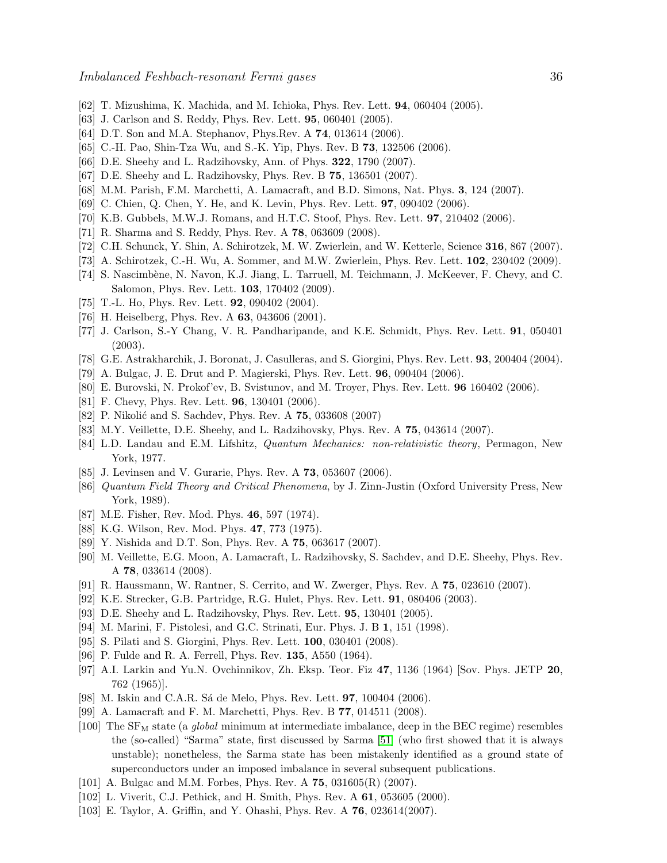- <span id="page-36-1"></span><span id="page-36-0"></span>[62] T. Mizushima, K. Machida, and M. Ichioka, Phys. Rev. Lett. 94, 060404 (2005).
- <span id="page-36-2"></span>[63] J. Carlson and S. Reddy, Phys. Rev. Lett. **95**, 060401 (2005).
- <span id="page-36-3"></span>[64] D.T. Son and M.A. Stephanov, Phys.Rev. A **74**, 013614 (2006).
- <span id="page-36-4"></span>[65] C.-H. Pao, Shin-Tza Wu, and S.-K. Yip, Phys. Rev. B **73**, 132506 (2006).
- <span id="page-36-5"></span>[66] D.E. Sheehy and L. Radzihovsky, Ann. of Phys. 322, 1790 (2007).
- <span id="page-36-6"></span>[67] D.E. Sheehy and L. Radzihovsky, Phys. Rev. B 75, 136501 (2007).
- <span id="page-36-7"></span>[68] M.M. Parish, F.M. Marchetti, A. Lamacraft, and B.D. Simons, Nat. Phys. 3, 124 (2007).
- <span id="page-36-8"></span>[69] C. Chien, Q. Chen, Y. He, and K. Levin, Phys. Rev. Lett. 97, 090402 (2006).
- <span id="page-36-9"></span>[70] K.B. Gubbels, M.W.J. Romans, and H.T.C. Stoof, Phys. Rev. Lett. 97, 210402 (2006).
- <span id="page-36-10"></span>[71] R. Sharma and S. Reddy, Phys. Rev. A 78, 063609 (2008).
- <span id="page-36-11"></span>[72] C.H. Schunck, Y. Shin, A. Schirotzek, M. W. Zwierlein, and W. Ketterle, Science 316, 867 (2007).
- <span id="page-36-12"></span>[73] A. Schirotzek, C.-H. Wu, A. Sommer, and M.W. Zwierlein, Phys. Rev. Lett. 102, 230402 (2009).
- <span id="page-36-13"></span>[74] S. Nascimbène, N. Navon, K.J. Jiang, L. Tarruell, M. Teichmann, J. McKeever, F. Chevy, and C. Salomon, Phys. Rev. Lett. 103, 170402 (2009).
- <span id="page-36-14"></span>[75] T.-L. Ho, Phys. Rev. Lett. **92**, 090402 (2004).
- <span id="page-36-15"></span>[76] H. Heiselberg, Phys. Rev. A **63**, 043606 (2001).
- <span id="page-36-16"></span>[77] J. Carlson, S.-Y Chang, V. R. Pandharipande, and K.E. Schmidt, Phys. Rev. Lett. 91, 050401 (2003).
- <span id="page-36-17"></span>[78] G.E. Astrakharchik, J. Boronat, J. Casulleras, and S. Giorgini, Phys. Rev. Lett. 93, 200404 (2004).
- <span id="page-36-18"></span>[79] A. Bulgac, J. E. Drut and P. Magierski, Phys. Rev. Lett. 96, 090404 (2006).
- <span id="page-36-19"></span>[80] E. Burovski, N. Prokof'ev, B. Svistunov, and M. Troyer, Phys. Rev. Lett. 96 160402 (2006).
- <span id="page-36-20"></span>[81] F. Chevy, Phys. Rev. Lett. **96**, 130401 (2006).
- <span id="page-36-21"></span>[82] P. Nikolić and S. Sachdev, Phys. Rev. A **75**, 033608 (2007)
- <span id="page-36-22"></span>[83] M.Y. Veillette, D.E. Sheehy, and L. Radzihovsky, Phys. Rev. A 75, 043614 (2007).
- <span id="page-36-23"></span>[84] L.D. Landau and E.M. Lifshitz, Quantum Mechanics: non-relativistic theory, Permagon, New York, 1977.
- <span id="page-36-24"></span>[85] J. Levinsen and V. Gurarie, Phys. Rev. A 73, 053607 (2006).
- <span id="page-36-25"></span>[86] Quantum Field Theory and Critical Phenomena, by J. Zinn-Justin (Oxford University Press, New York, 1989).
- <span id="page-36-26"></span>[87] M.E. Fisher, Rev. Mod. Phys. **46**, 597 (1974).
- <span id="page-36-27"></span>[88] K.G. Wilson, Rev. Mod. Phys. 47, 773 (1975).
- <span id="page-36-28"></span>[89] Y. Nishida and D.T. Son, Phys. Rev. A 75, 063617 (2007).
- [90] M. Veillette, E.G. Moon, A. Lamacraft, L. Radzihovsky, S. Sachdev, and D.E. Sheehy, Phys. Rev. A 78, 033614 (2008).
- <span id="page-36-30"></span><span id="page-36-29"></span>[91] R. Haussmann, W. Rantner, S. Cerrito, and W. Zwerger, Phys. Rev. A 75, 023610 (2007).
- <span id="page-36-31"></span>[92] K.E. Strecker, G.B. Partridge, R.G. Hulet, Phys. Rev. Lett. 91, 080406 (2003).
- <span id="page-36-32"></span>[93] D.E. Sheehy and L. Radzihovsky, Phys. Rev. Lett. 95, 130401 (2005).
- <span id="page-36-33"></span>[94] M. Marini, F. Pistolesi, and G.C. Strinati, Eur. Phys. J. B 1, 151 (1998).
- <span id="page-36-34"></span>[95] S. Pilati and S. Giorgini, Phys. Rev. Lett. **100**, 030401 (2008).
- <span id="page-36-35"></span>[96] P. Fulde and R. A. Ferrell, Phys. Rev. 135, A550 (1964).
- [97] A.I. Larkin and Yu.N. Ovchinnikov, Zh. Eksp. Teor. Fiz 47, 1136 (1964) [Sov. Phys. JETP 20, 762 (1965)].
- <span id="page-36-37"></span><span id="page-36-36"></span>[98] M. Iskin and C.A.R. Sá de Melo, Phys. Rev. Lett. **97**, 100404 (2006).
- <span id="page-36-38"></span>[99] A. Lamacraft and F. M. Marchetti, Phys. Rev. B 77, 014511 (2008).
- [100] The  $SF_{M}$  state (a *global* minimum at intermediate imbalance, deep in the BEC regime) resembles the (so-called) "Sarma" state, first discussed by Sarma [\[51\]](#page-35-27) (who first showed that it is always unstable); nonetheless, the Sarma state has been mistakenly identified as a ground state of superconductors under an imposed imbalance in several subsequent publications.
- <span id="page-36-40"></span><span id="page-36-39"></span>[101] A. Bulgac and M.M. Forbes, Phys. Rev. A **75**, 031605(R) (2007).
- <span id="page-36-41"></span>[102] L. Viverit, C.J. Pethick, and H. Smith, Phys. Rev. A 61, 053605 (2000).
- [103] E. Taylor, A. Griffin, and Y. Ohashi, Phys. Rev. A 76, 023614(2007).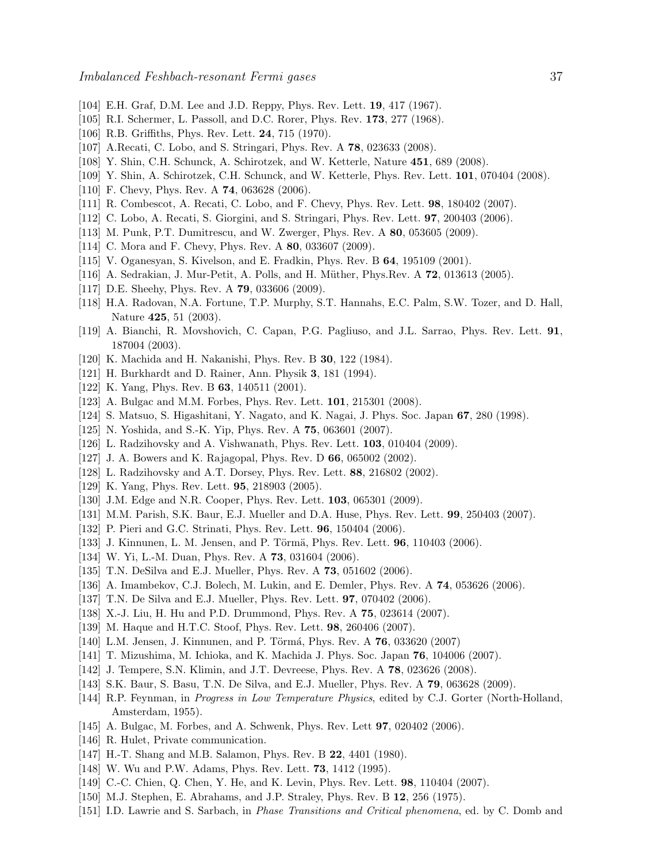- <span id="page-37-1"></span><span id="page-37-0"></span>[104] E.H. Graf, D.M. Lee and J.D. Reppy, Phys. Rev. Lett. 19, 417 (1967).
- <span id="page-37-2"></span>[105] R.I. Schermer, L. Passoll, and D.C. Rorer, Phys. Rev. 173, 277 (1968).
- <span id="page-37-3"></span>[106] R.B. Griffiths, Phys. Rev. Lett. 24, 715 (1970).
- <span id="page-37-4"></span>[107] A.Recati, C. Lobo, and S. Stringari, Phys. Rev. A 78, 023633 (2008).
- <span id="page-37-5"></span>[108] Y. Shin, C.H. Schunck, A. Schirotzek, and W. Ketterle, Nature 451, 689 (2008).
- <span id="page-37-6"></span>[109] Y. Shin, A. Schirotzek, C.H. Schunck, and W. Ketterle, Phys. Rev. Lett. 101, 070404 (2008).
- <span id="page-37-7"></span>[110] F. Chevy, Phys. Rev. A **74**, 063628 (2006).
- <span id="page-37-8"></span>[111] R. Combescot, A. Recati, C. Lobo, and F. Chevy, Phys. Rev. Lett. 98, 180402 (2007).
- <span id="page-37-9"></span>[112] C. Lobo, A. Recati, S. Giorgini, and S. Stringari, Phys. Rev. Lett. 97, 200403 (2006).
- <span id="page-37-10"></span>[113] M. Punk, P.T. Dumitrescu, and W. Zwerger, Phys. Rev. A 80, 053605 (2009).
- <span id="page-37-11"></span>[114] C. Mora and F. Chevy, Phys. Rev. A **80**, 033607 (2009).
- <span id="page-37-12"></span>[115] V. Oganesyan, S. Kivelson, and E. Fradkin, Phys. Rev. B 64, 195109 (2001).
- <span id="page-37-13"></span>[116] A. Sedrakian, J. Mur-Petit, A. Polls, and H. Müther, Phys.Rev. A **72**, 013613 (2005).
- <span id="page-37-15"></span>[117] D.E. Sheehy, Phys. Rev. A **79**, 033606 (2009).
- <span id="page-37-16"></span>[118] H.A. Radovan, N.A. Fortune, T.P. Murphy, S.T. Hannahs, E.C. Palm, S.W. Tozer, and D. Hall, Nature 425, 51 (2003).
- <span id="page-37-17"></span>[119] A. Bianchi, R. Movshovich, C. Capan, P.G. Pagliuso, and J.L. Sarrao, Phys. Rev. Lett. 91, 187004 (2003).
- <span id="page-37-18"></span>[120] K. Machida and H. Nakanishi, Phys. Rev. B 30, 122 (1984).
- <span id="page-37-19"></span>[121] H. Burkhardt and D. Rainer, Ann. Physik 3, 181 (1994).
- <span id="page-37-20"></span>[122] K. Yang, Phys. Rev. B **63**, 140511 (2001).
- <span id="page-37-21"></span>[123] A. Bulgac and M.M. Forbes, Phys. Rev. Lett. **101**, 215301 (2008).
- <span id="page-37-22"></span>[124] S. Matsuo, S. Higashitani, Y. Nagato, and K. Nagai, J. Phys. Soc. Japan 67, 280 (1998).
- <span id="page-37-14"></span>[125] N. Yoshida, and S.-K. Yip, Phys. Rev. A **75**, 063601 (2007).
- <span id="page-37-23"></span>[126] L. Radzihovsky and A. Vishwanath, Phys. Rev. Lett. 103, 010404 (2009).
- <span id="page-37-24"></span>[127] J. A. Bowers and K. Rajagopal, Phys. Rev. D 66, 065002 (2002).
- <span id="page-37-25"></span>[128] L. Radzihovsky and A.T. Dorsey, Phys. Rev. Lett. 88, 216802 (2002).
- <span id="page-37-26"></span>[129] K. Yang, Phys. Rev. Lett. 95, 218903 (2005).
- <span id="page-37-27"></span>[130] J.M. Edge and N.R. Cooper, Phys. Rev. Lett. 103, 065301 (2009).
- <span id="page-37-28"></span>[131] M.M. Parish, S.K. Baur, E.J. Mueller and D.A. Huse, Phys. Rev. Lett. 99, 250403 (2007).
- <span id="page-37-29"></span>[132] P. Pieri and G.C. Strinati, Phys. Rev. Lett. 96, 150404 (2006).
- <span id="page-37-30"></span>[133] J. Kinnunen, L. M. Jensen, and P. Törmä, Phys. Rev. Lett.  $96$ , 110403 (2006).
- <span id="page-37-31"></span>[134] W. Yi, L.-M. Duan, Phys. Rev. A **73**, 031604 (2006).
- <span id="page-37-32"></span>[135] T.N. DeSilva and E.J. Mueller, Phys. Rev. A **73**, 051602 (2006).
- <span id="page-37-33"></span>[136] A. Imambekov, C.J. Bolech, M. Lukin, and E. Demler, Phys. Rev. A 74, 053626 (2006).
- <span id="page-37-34"></span>[137] T.N. De Silva and E.J. Mueller, Phys. Rev. Lett. 97, 070402 (2006).
- <span id="page-37-35"></span>[138] X.-J. Liu, H. Hu and P.D. Drummond, Phys. Rev. A 75, 023614 (2007).
- <span id="page-37-36"></span>[139] M. Haque and H.T.C. Stoof, Phys. Rev. Lett. 98, 260406 (2007).
- <span id="page-37-37"></span>[140] L.M. Jensen, J. Kinnunen, and P. Törmá, Phys. Rev. A  $76$ , 033620 (2007)
- <span id="page-37-38"></span>[141] T. Mizushima, M. Ichioka, and K. Machida J. Phys. Soc. Japan 76, 104006 (2007).
- <span id="page-37-39"></span>[142] J. Tempere, S.N. Klimin, and J.T. Devreese, Phys. Rev. A **78**, 023626 (2008).
- <span id="page-37-40"></span>[143] S.K. Baur, S. Basu, T.N. De Silva, and E.J. Mueller, Phys. Rev. A 79, 063628 (2009).
- [144] R.P. Feynman, in *Progress in Low Temperature Physics*, edited by C.J. Gorter (North-Holland, Amsterdam, 1955).
- <span id="page-37-42"></span><span id="page-37-41"></span>[145] A. Bulgac, M. Forbes, and A. Schwenk, Phys. Rev. Lett 97, 020402 (2006).
- <span id="page-37-43"></span>[146] R. Hulet, Private communication.
- <span id="page-37-44"></span>[147] H.-T. Shang and M.B. Salamon, Phys. Rev. B 22, 4401 (1980).
- <span id="page-37-45"></span>[148] W. Wu and P.W. Adams, Phys. Rev. Lett. **73**, 1412 (1995).
- <span id="page-37-46"></span>[149] C.-C. Chien, Q. Chen, Y. He, and K. Levin, Phys. Rev. Lett. 98, 110404 (2007).
- <span id="page-37-47"></span>[150] M.J. Stephen, E. Abrahams, and J.P. Straley, Phys. Rev. B 12, 256 (1975).
- [151] I.D. Lawrie and S. Sarbach, in Phase Transitions and Critical phenomena, ed. by C. Domb and